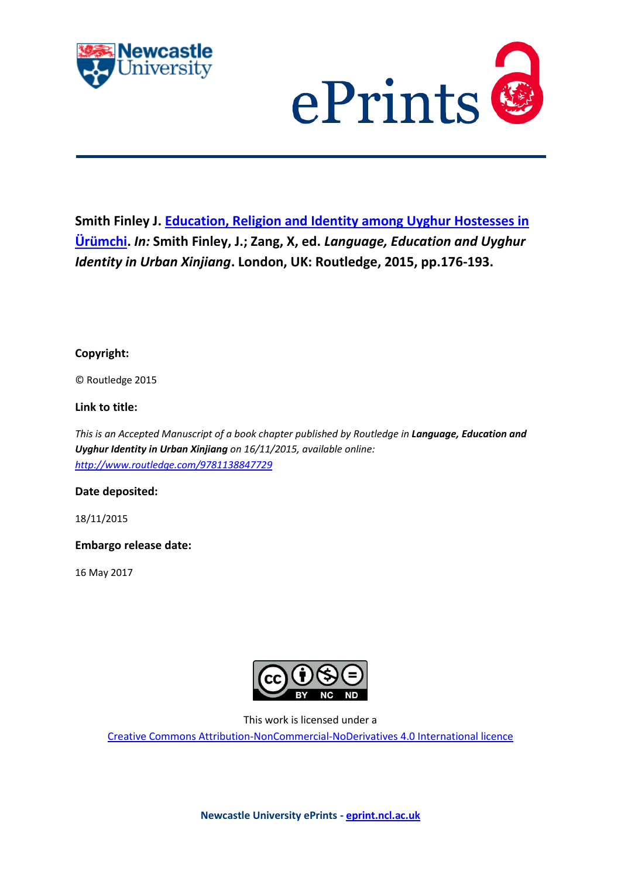



**Smith Finley J. [Education, Religion and Identity among Uyghur Hostesses in](javascript:ViewPublication(170700);)  [Ürümchi.](javascript:ViewPublication(170700);)** *In:* **Smith Finley, J.; Zang, X, ed.** *Language, Education and Uyghur Identity in Urban Xinjiang***. London, UK: Routledge, 2015, pp.176-193.**

**Copyright:**

© Routledge 2015

**Link to title:**

*This is an Accepted Manuscript of a book chapter published by Routledge in Language, Education and Uyghur Identity in Urban Xinjiang on 16/11/2015, available online: <http://www.routledge.com/9781138847729>*

## **Date deposited:**

18/11/2015

**Embargo release date:**

16 May 2017



This work is licensed under a

[Creative Commons Attribution-NonCommercial-NoDerivatives 4.0 International licence](https://creativecommons.org/licenses/by-nc-nd/4.0/)

**Newcastle University ePrints - [eprint.ncl.ac.uk](http://eprint.ncl.ac.uk/)**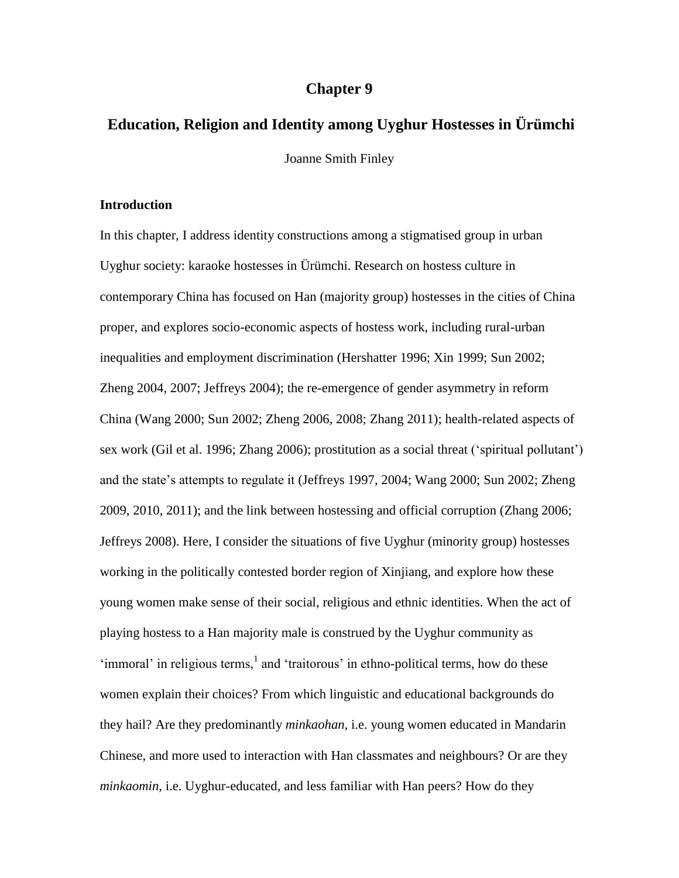# **Chapter 9**

# **Education, Religion and Identity among Uyghur Hostesses in Ürümchi**

Joanne Smith Finley

#### **Introduction**

In this chapter, I address identity constructions among a stigmatised group in urban Uyghur society: karaoke hostesses in Ürümchi. Research on hostess culture in contemporary China has focused on Han (majority group) hostesses in the cities of China proper, and explores socio-economic aspects of hostess work, including rural-urban inequalities and employment discrimination (Hershatter 1996; Xin 1999; Sun 2002; Zheng 2004, 2007; Jeffreys 2004); the re-emergence of gender asymmetry in reform China (Wang 2000; Sun 2002; Zheng 2006, 2008; Zhang 2011); health-related aspects of sex work (Gil et al. 1996; Zhang 2006); prostitution as a social threat ('spiritual pollutant') and the state's attempts to regulate it (Jeffreys 1997, 2004; Wang 2000; Sun 2002; Zheng 2009, 2010, 2011); and the link between hostessing and official corruption (Zhang 2006; Jeffreys 2008). Here, I consider the situations of five Uyghur (minority group) hostesses working in the politically contested border region of Xinjiang, and explore how these young women make sense of their social, religious and ethnic identities. When the act of playing hostess to a Han majority male is construed by the Uyghur community as 'immoral' in religious terms, $<sup>1</sup>$  and 'traitorous' in ethno-political terms, how do these</sup> women explain their choices? From which linguistic and educational backgrounds do they hail? Are they predominantly *minkaohan*, i.e. young women educated in Mandarin Chinese, and more used to interaction with Han classmates and neighbours? Or are they *minkaomin*, i.e. Uyghur-educated, and less familiar with Han peers? How do they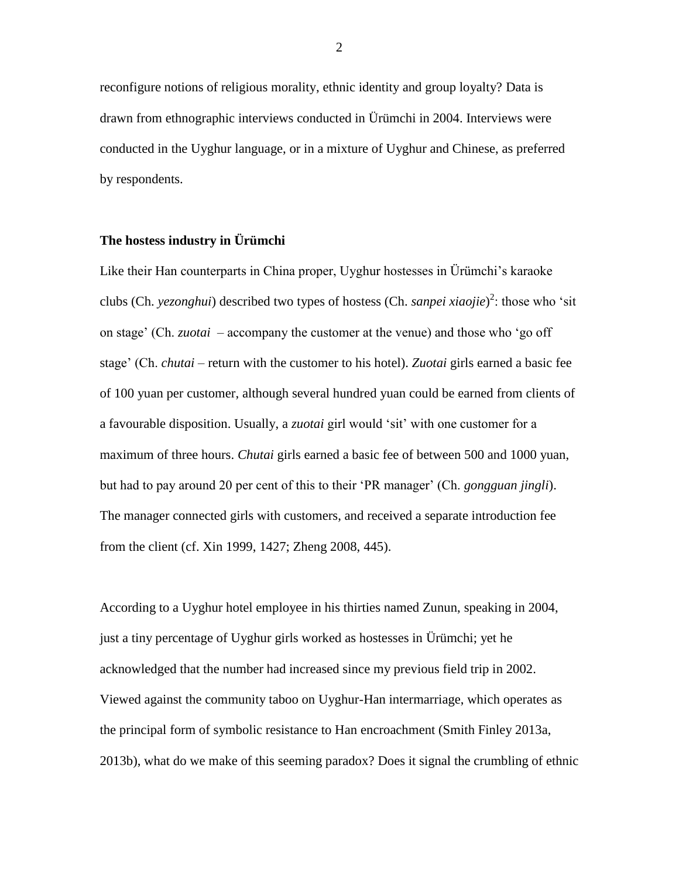reconfigure notions of religious morality, ethnic identity and group loyalty? Data is drawn from ethnographic interviews conducted in Ürümchi in 2004. Interviews were conducted in the Uyghur language, or in a mixture of Uyghur and Chinese, as preferred by respondents.

## **The hostess industry in Ürümchi**

Like their Han counterparts in China proper, Uyghur hostesses in Ürümchi's karaoke clubs (Ch. *yezonghui*) described two types of hostess (Ch. *sanpei xiaojie*) 2 : those who 'sit on stage' (Ch. *zuotai* – accompany the customer at the venue) and those who 'go off stage' (Ch. *chutai* – return with the customer to his hotel). *Zuotai* girls earned a basic fee of 100 yuan per customer, although several hundred yuan could be earned from clients of a favourable disposition. Usually, a *zuotai* girl would 'sit' with one customer for a maximum of three hours. *Chutai* girls earned a basic fee of between 500 and 1000 yuan, but had to pay around 20 per cent of this to their 'PR manager' (Ch. *gongguan jingli*). The manager connected girls with customers, and received a separate introduction fee from the client (cf. Xin 1999, 1427; Zheng 2008, 445).

According to a Uyghur hotel employee in his thirties named Zunun, speaking in 2004, just a tiny percentage of Uyghur girls worked as hostesses in Ürümchi; yet he acknowledged that the number had increased since my previous field trip in 2002. Viewed against the community taboo on Uyghur-Han intermarriage, which operates as the principal form of symbolic resistance to Han encroachment (Smith Finley 2013a, 2013b), what do we make of this seeming paradox? Does it signal the crumbling of ethnic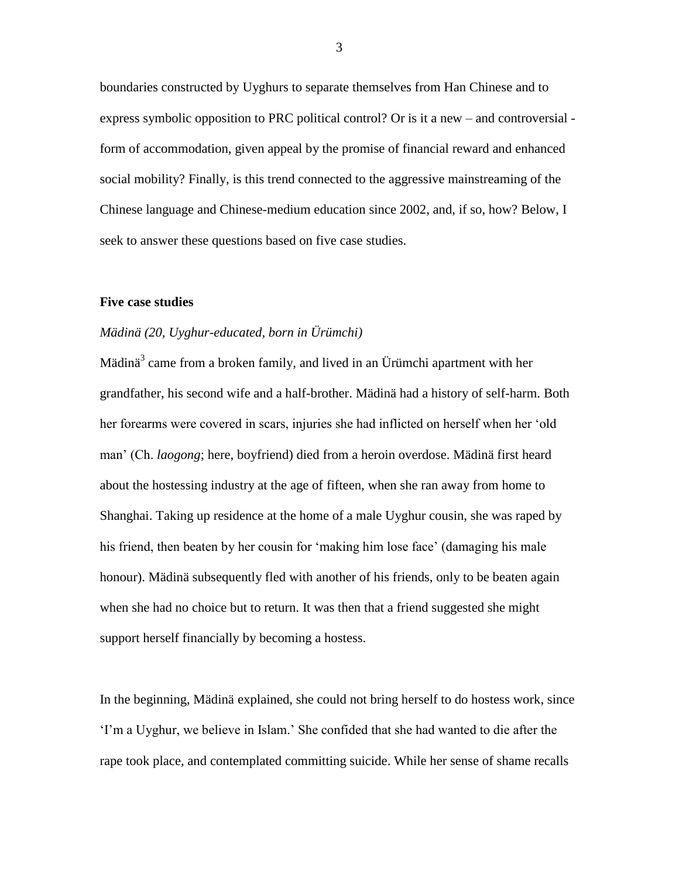boundaries constructed by Uyghurs to separate themselves from Han Chinese and to express symbolic opposition to PRC political control? Or is it a new – and controversial form of accommodation, given appeal by the promise of financial reward and enhanced social mobility? Finally, is this trend connected to the aggressive mainstreaming of the Chinese language and Chinese-medium education since 2002, and, if so, how? Below, I seek to answer these questions based on five case studies.

#### **Five case studies**

## *Mädinä (20, Uyghur-educated, born in Ürümchi)*

Mädinä<sup>3</sup> came from a broken family, and lived in an Ürümchi apartment with her grandfather, his second wife and a half-brother. Mädinä had a history of self-harm. Both her forearms were covered in scars, injuries she had inflicted on herself when her 'old man' (Ch. *laogong*; here, boyfriend) died from a heroin overdose. Mädinä first heard about the hostessing industry at the age of fifteen, when she ran away from home to Shanghai. Taking up residence at the home of a male Uyghur cousin, she was raped by his friend, then beaten by her cousin for 'making him lose face' (damaging his male honour). Mädinä subsequently fled with another of his friends, only to be beaten again when she had no choice but to return. It was then that a friend suggested she might support herself financially by becoming a hostess.

In the beginning, Mädinä explained, she could not bring herself to do hostess work, since 'I'm a Uyghur, we believe in Islam.' She confided that she had wanted to die after the rape took place, and contemplated committing suicide. While her sense of shame recalls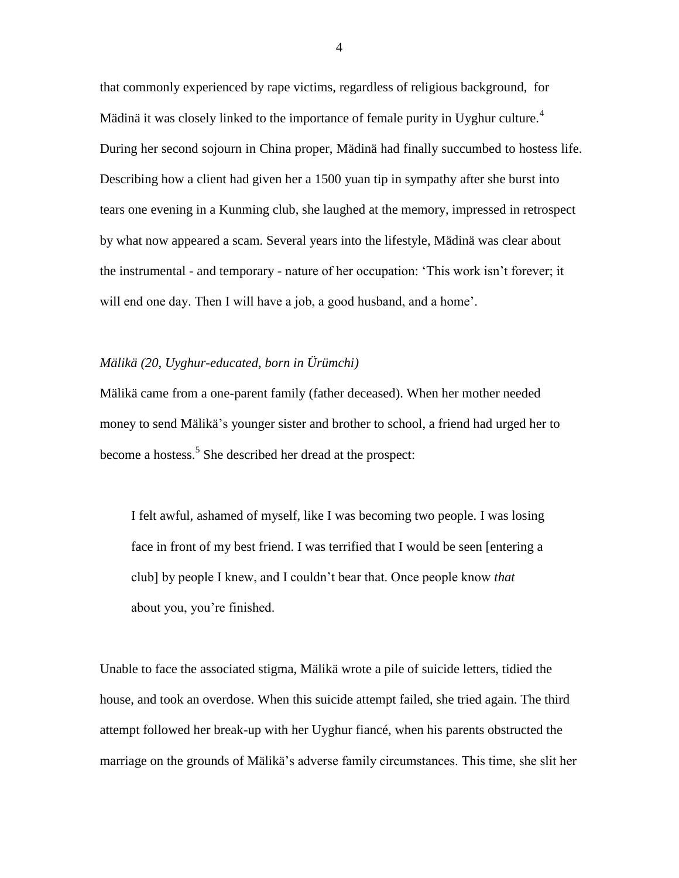that commonly experienced by rape victims, regardless of religious background, for Mädinä it was closely linked to the importance of female purity in Uyghur culture.<sup>4</sup> During her second sojourn in China proper, Mädinä had finally succumbed to hostess life. Describing how a client had given her a 1500 yuan tip in sympathy after she burst into tears one evening in a Kunming club, she laughed at the memory, impressed in retrospect by what now appeared a scam. Several years into the lifestyle, Mädinä was clear about the instrumental - and temporary - nature of her occupation: 'This work isn't forever; it will end one day. Then I will have a job, a good husband, and a home'.

### *Mälikä (20, Uyghur-educated, born in Ürümchi)*

Mälikä came from a one-parent family (father deceased). When her mother needed money to send Mälikä's younger sister and brother to school, a friend had urged her to become a hostess.<sup>5</sup> She described her dread at the prospect:

I felt awful, ashamed of myself, like I was becoming two people. I was losing face in front of my best friend. I was terrified that I would be seen [entering a club] by people I knew, and I couldn't bear that. Once people know *that*  about you, you're finished.

Unable to face the associated stigma, Mälikä wrote a pile of suicide letters, tidied the house, and took an overdose. When this suicide attempt failed, she tried again. The third attempt followed her break-up with her Uyghur fiancé, when his parents obstructed the marriage on the grounds of Mälikä's adverse family circumstances. This time, she slit her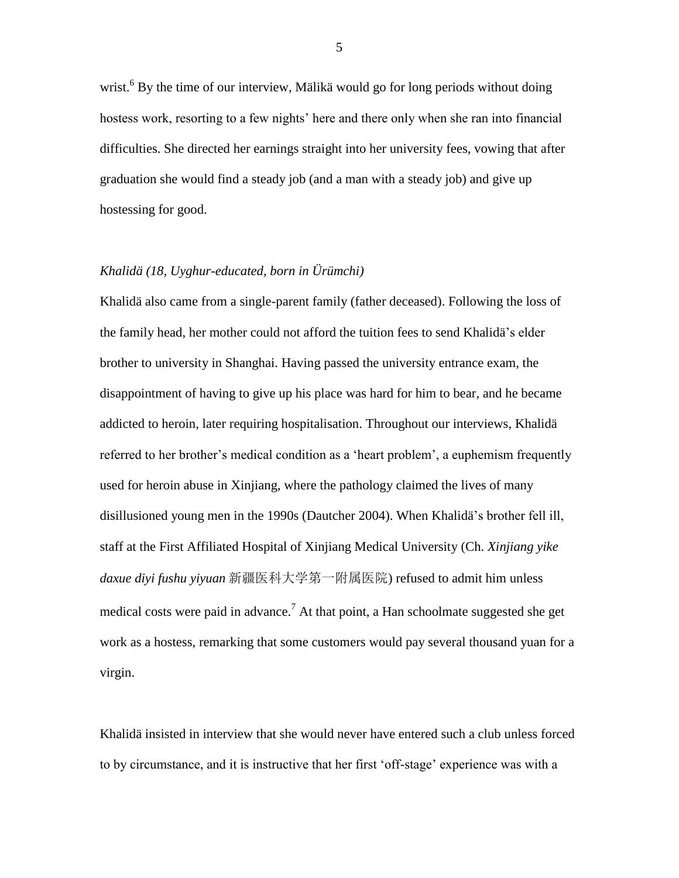wrist.<sup>6</sup> By the time of our interview, Mälikä would go for long periods without doing hostess work, resorting to a few nights' here and there only when she ran into financial difficulties. She directed her earnings straight into her university fees, vowing that after graduation she would find a steady job (and a man with a steady job) and give up hostessing for good.

#### *Khalidä (18, Uyghur-educated, born in Ürümchi)*

Khalidä also came from a single-parent family (father deceased). Following the loss of the family head, her mother could not afford the tuition fees to send Khalidä's elder brother to university in Shanghai. Having passed the university entrance exam, the disappointment of having to give up his place was hard for him to bear, and he became addicted to heroin, later requiring hospitalisation. Throughout our interviews, Khalidä referred to her brother's medical condition as a 'heart problem', a euphemism frequently used for heroin abuse in Xinjiang, where the pathology claimed the lives of many disillusioned young men in the 1990s (Dautcher 2004). When Khalidä's brother fell ill, staff at the First Affiliated Hospital of Xinjiang Medical University (Ch. *Xinjiang yike daxue diyi fushu yiyuan* 新疆医科大学第一附属医院) refused to admit him unless medical costs were paid in advance.<sup>7</sup> At that point, a Han schoolmate suggested she get work as a hostess, remarking that some customers would pay several thousand yuan for a virgin.

Khalidä insisted in interview that she would never have entered such a club unless forced to by circumstance, and it is instructive that her first 'off-stage' experience was with a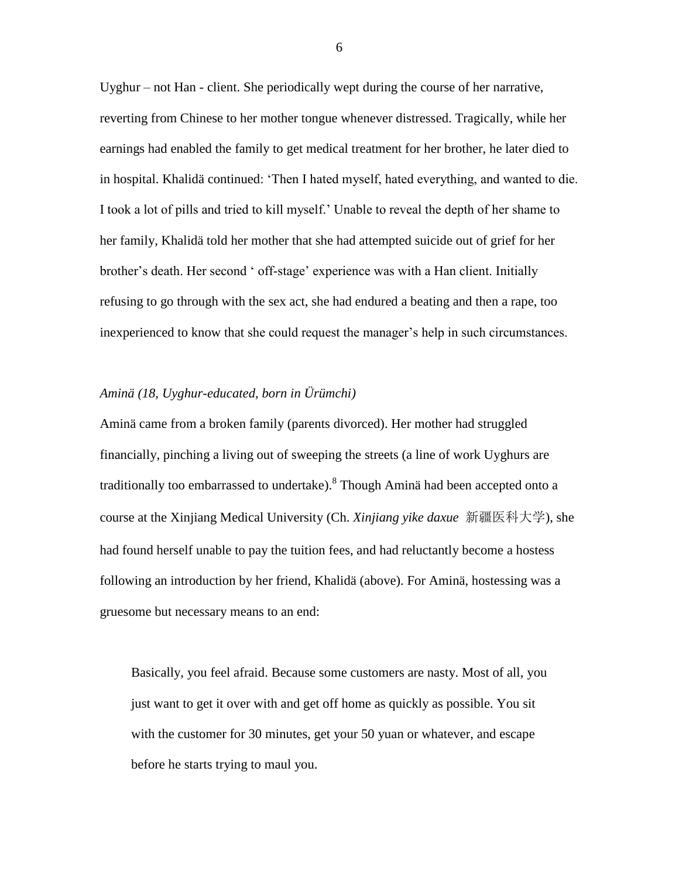Uyghur – not Han - client. She periodically wept during the course of her narrative, reverting from Chinese to her mother tongue whenever distressed. Tragically, while her earnings had enabled the family to get medical treatment for her brother, he later died to in hospital. Khalidä continued: 'Then I hated myself, hated everything, and wanted to die. I took a lot of pills and tried to kill myself.' Unable to reveal the depth of her shame to her family, Khalidä told her mother that she had attempted suicide out of grief for her brother's death. Her second ' off-stage' experience was with a Han client. Initially refusing to go through with the sex act, she had endured a beating and then a rape, too inexperienced to know that she could request the manager's help in such circumstances.

#### *Aminä (18, Uyghur-educated, born in Ürümchi)*

Aminä came from a broken family (parents divorced). Her mother had struggled financially, pinching a living out of sweeping the streets (a line of work Uyghurs are traditionally too embarrassed to undertake). $^8$  Though Aminä had been accepted onto a course at the Xinjiang Medical University (Ch. *Xinjiang yike daxue* 新疆医科大学), she had found herself unable to pay the tuition fees, and had reluctantly become a hostess following an introduction by her friend, Khalidä (above). For Aminä, hostessing was a gruesome but necessary means to an end:

Basically, you feel afraid. Because some customers are nasty. Most of all, you just want to get it over with and get off home as quickly as possible. You sit with the customer for 30 minutes, get your 50 yuan or whatever, and escape before he starts trying to maul you.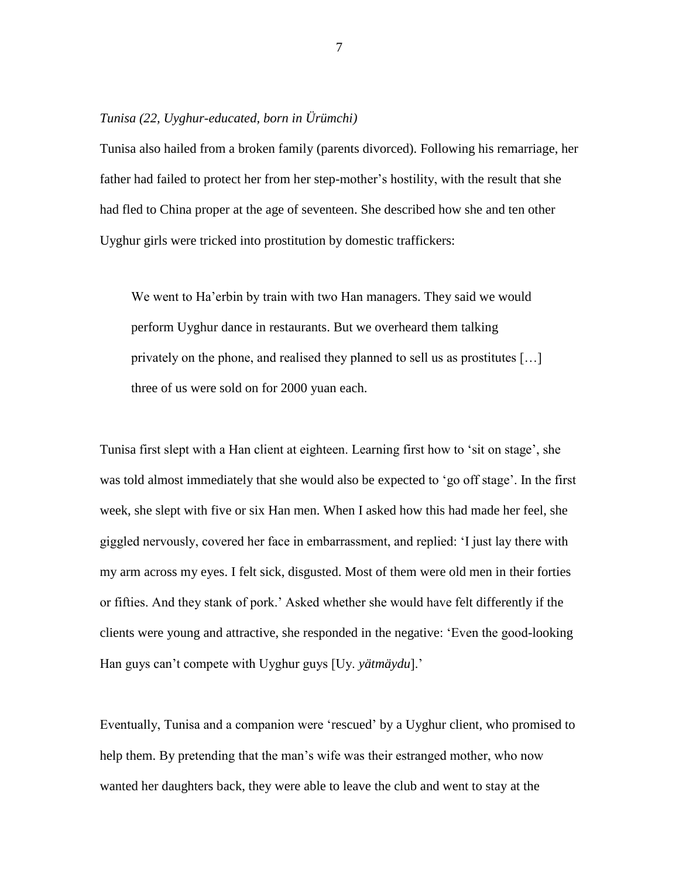## *Tunisa (22, Uyghur-educated, born in Ürümchi)*

Tunisa also hailed from a broken family (parents divorced). Following his remarriage, her father had failed to protect her from her step-mother's hostility, with the result that she had fled to China proper at the age of seventeen. She described how she and ten other Uyghur girls were tricked into prostitution by domestic traffickers:

We went to Ha'erbin by train with two Han managers. They said we would perform Uyghur dance in restaurants. But we overheard them talking privately on the phone, and realised they planned to sell us as prostitutes […] three of us were sold on for 2000 yuan each.

Tunisa first slept with a Han client at eighteen. Learning first how to 'sit on stage', she was told almost immediately that she would also be expected to 'go off stage'. In the first week, she slept with five or six Han men. When I asked how this had made her feel, she giggled nervously, covered her face in embarrassment, and replied: 'I just lay there with my arm across my eyes. I felt sick, disgusted. Most of them were old men in their forties or fifties. And they stank of pork.' Asked whether she would have felt differently if the clients were young and attractive, she responded in the negative: 'Even the good-looking Han guys can't compete with Uyghur guys [Uy. *yätmäydu*].'

Eventually, Tunisa and a companion were 'rescued' by a Uyghur client, who promised to help them. By pretending that the man's wife was their estranged mother, who now wanted her daughters back, they were able to leave the club and went to stay at the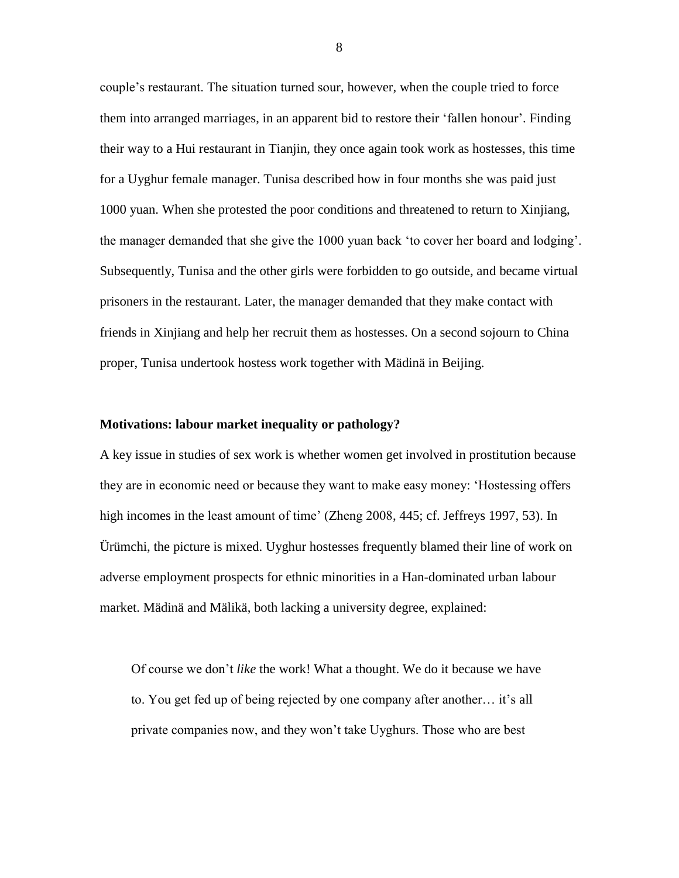couple's restaurant. The situation turned sour, however, when the couple tried to force them into arranged marriages, in an apparent bid to restore their 'fallen honour'. Finding their way to a Hui restaurant in Tianjin, they once again took work as hostesses, this time for a Uyghur female manager. Tunisa described how in four months she was paid just 1000 yuan. When she protested the poor conditions and threatened to return to Xinjiang, the manager demanded that she give the 1000 yuan back 'to cover her board and lodging'. Subsequently, Tunisa and the other girls were forbidden to go outside, and became virtual prisoners in the restaurant. Later, the manager demanded that they make contact with friends in Xinjiang and help her recruit them as hostesses. On a second sojourn to China proper, Tunisa undertook hostess work together with Mädinä in Beijing.

#### **Motivations: labour market inequality or pathology?**

A key issue in studies of sex work is whether women get involved in prostitution because they are in economic need or because they want to make easy money: 'Hostessing offers high incomes in the least amount of time' (Zheng 2008, 445; cf. Jeffreys 1997, 53). In Ürümchi, the picture is mixed. Uyghur hostesses frequently blamed their line of work on adverse employment prospects for ethnic minorities in a Han-dominated urban labour market. Mädinä and Mälikä, both lacking a university degree, explained:

Of course we don't *like* the work! What a thought. We do it because we have to. You get fed up of being rejected by one company after another… it's all private companies now, and they won't take Uyghurs. Those who are best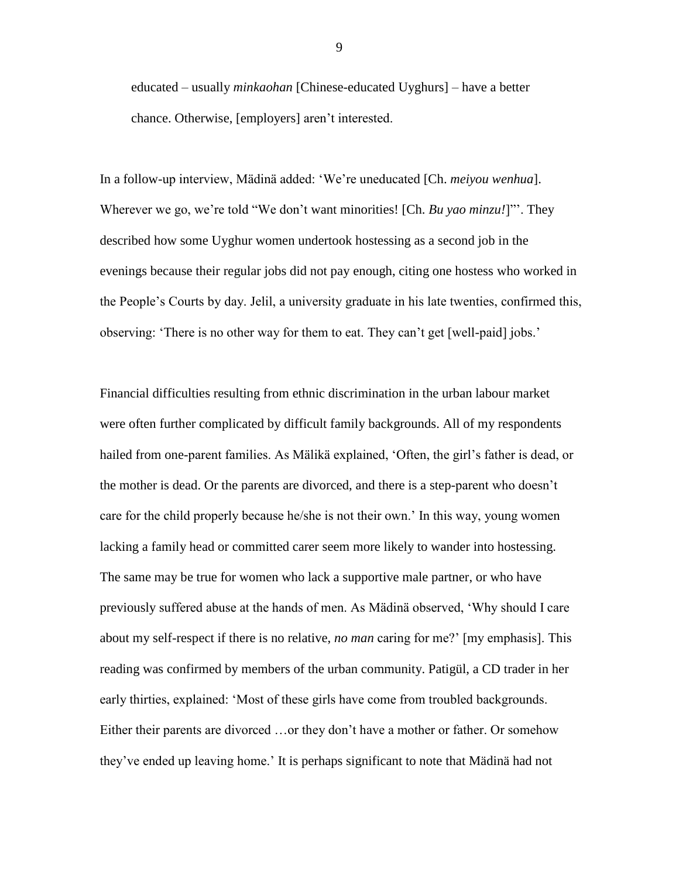educated – usually *minkaohan* [Chinese-educated Uyghurs] – have a better chance. Otherwise, [employers] aren't interested.

In a follow-up interview, Mädinä added: 'We're uneducated [Ch. *meiyou wenhua*]. Wherever we go, we're told "We don't want minorities! [Ch. *Bu yao minzu!*]"'. They described how some Uyghur women undertook hostessing as a second job in the evenings because their regular jobs did not pay enough, citing one hostess who worked in the People's Courts by day. Jelil, a university graduate in his late twenties, confirmed this, observing: 'There is no other way for them to eat. They can't get [well-paid] jobs.'

Financial difficulties resulting from ethnic discrimination in the urban labour market were often further complicated by difficult family backgrounds. All of my respondents hailed from one-parent families. As Mälikä explained, 'Often, the girl's father is dead, or the mother is dead. Or the parents are divorced, and there is a step-parent who doesn't care for the child properly because he/she is not their own.' In this way, young women lacking a family head or committed carer seem more likely to wander into hostessing. The same may be true for women who lack a supportive male partner, or who have previously suffered abuse at the hands of men. As Mädinä observed, 'Why should I care about my self-respect if there is no relative, *no man* caring for me?' [my emphasis]. This reading was confirmed by members of the urban community. Patigül, a CD trader in her early thirties, explained: 'Most of these girls have come from troubled backgrounds. Either their parents are divorced …or they don't have a mother or father. Or somehow they've ended up leaving home.' It is perhaps significant to note that Mädinä had not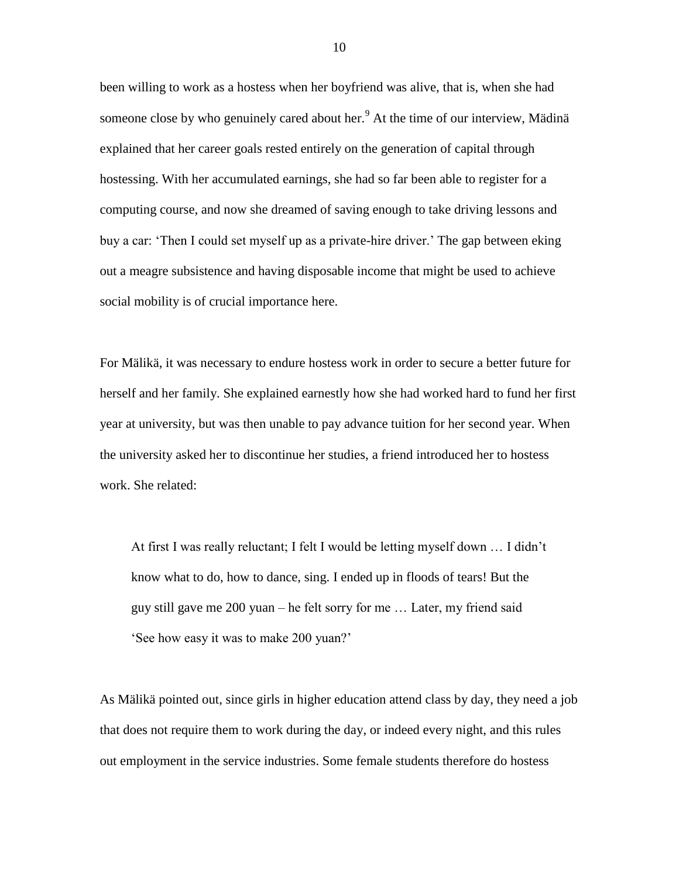been willing to work as a hostess when her boyfriend was alive, that is, when she had someone close by who genuinely cared about her.<sup>9</sup> At the time of our interview, Mädinä explained that her career goals rested entirely on the generation of capital through hostessing. With her accumulated earnings, she had so far been able to register for a computing course, and now she dreamed of saving enough to take driving lessons and buy a car: 'Then I could set myself up as a private-hire driver.' The gap between eking out a meagre subsistence and having disposable income that might be used to achieve social mobility is of crucial importance here.

For Mälikä, it was necessary to endure hostess work in order to secure a better future for herself and her family. She explained earnestly how she had worked hard to fund her first year at university, but was then unable to pay advance tuition for her second year. When the university asked her to discontinue her studies, a friend introduced her to hostess work. She related:

At first I was really reluctant; I felt I would be letting myself down … I didn't know what to do, how to dance, sing. I ended up in floods of tears! But the guy still gave me 200 yuan – he felt sorry for me … Later, my friend said 'See how easy it was to make 200 yuan?'

As Mälikä pointed out, since girls in higher education attend class by day, they need a job that does not require them to work during the day, or indeed every night, and this rules out employment in the service industries. Some female students therefore do hostess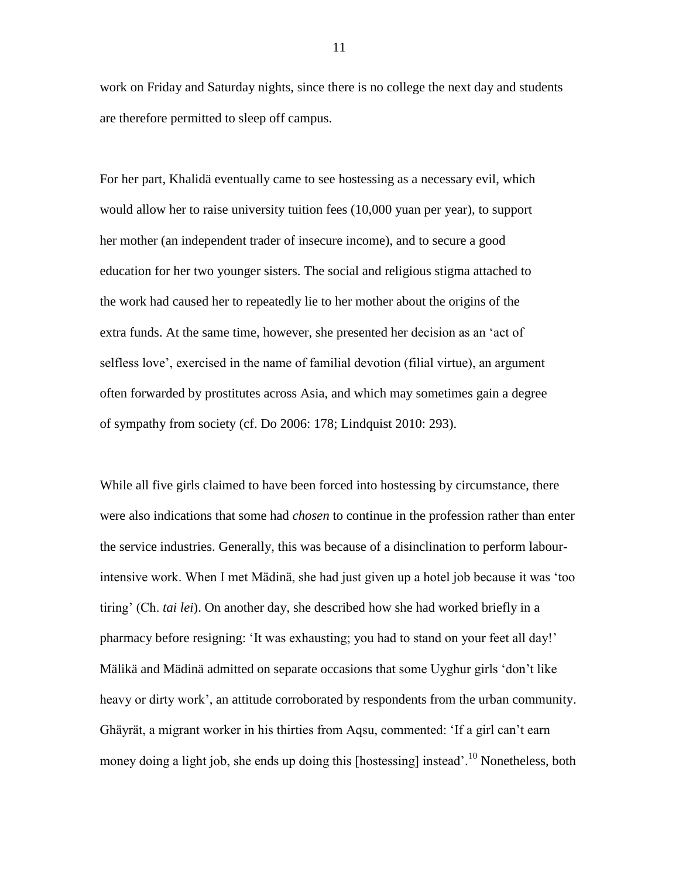work on Friday and Saturday nights, since there is no college the next day and students are therefore permitted to sleep off campus.

For her part, Khalidä eventually came to see hostessing as a necessary evil, which would allow her to raise university tuition fees (10,000 yuan per year), to support her mother (an independent trader of insecure income), and to secure a good education for her two younger sisters. The social and religious stigma attached to the work had caused her to repeatedly lie to her mother about the origins of the extra funds. At the same time, however, she presented her decision as an 'act of selfless love', exercised in the name of familial devotion (filial virtue), an argument often forwarded by prostitutes across Asia, and which may sometimes gain a degree of sympathy from society (cf. Do 2006: 178; Lindquist 2010: 293).

While all five girls claimed to have been forced into hostessing by circumstance, there were also indications that some had *chosen* to continue in the profession rather than enter the service industries. Generally, this was because of a disinclination to perform labourintensive work. When I met Mädinä, she had just given up a hotel job because it was 'too tiring' (Ch. *tai lei*). On another day, she described how she had worked briefly in a pharmacy before resigning: 'It was exhausting; you had to stand on your feet all day!' Mälikä and Mädinä admitted on separate occasions that some Uyghur girls 'don't like heavy or dirty work', an attitude corroborated by respondents from the urban community. Ghäyrät, a migrant worker in his thirties from Aqsu, commented: 'If a girl can't earn money doing a light job, she ends up doing this [hostessing] instead'.<sup>10</sup> Nonetheless, both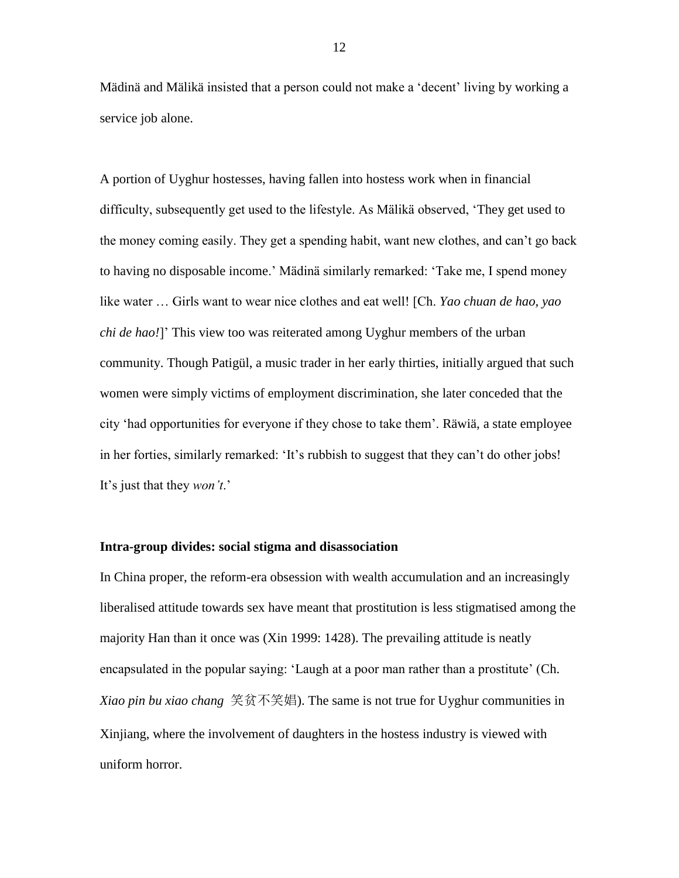Mädinä and Mälikä insisted that a person could not make a 'decent' living by working a service job alone.

A portion of Uyghur hostesses, having fallen into hostess work when in financial difficulty, subsequently get used to the lifestyle. As Mälikä observed, 'They get used to the money coming easily. They get a spending habit, want new clothes, and can't go back to having no disposable income.' Mädinä similarly remarked: 'Take me, I spend money like water … Girls want to wear nice clothes and eat well! [Ch. *Yao chuan de hao, yao chi de hao!*]' This view too was reiterated among Uyghur members of the urban community. Though Patigül, a music trader in her early thirties, initially argued that such women were simply victims of employment discrimination, she later conceded that the city 'had opportunities for everyone if they chose to take them'. Räwiä, a state employee in her forties, similarly remarked: 'It's rubbish to suggest that they can't do other jobs! It's just that they *won't*.'

#### **Intra-group divides: social stigma and disassociation**

In China proper, the reform-era obsession with wealth accumulation and an increasingly liberalised attitude towards sex have meant that prostitution is less stigmatised among the majority Han than it once was (Xin 1999: 1428). The prevailing attitude is neatly encapsulated in the popular saying: 'Laugh at a poor man rather than a prostitute' (Ch. *Xiao pin bu xiao chang* 笑贫不笑娼). The same is not true for Uyghur communities in Xinjiang, where the involvement of daughters in the hostess industry is viewed with uniform horror.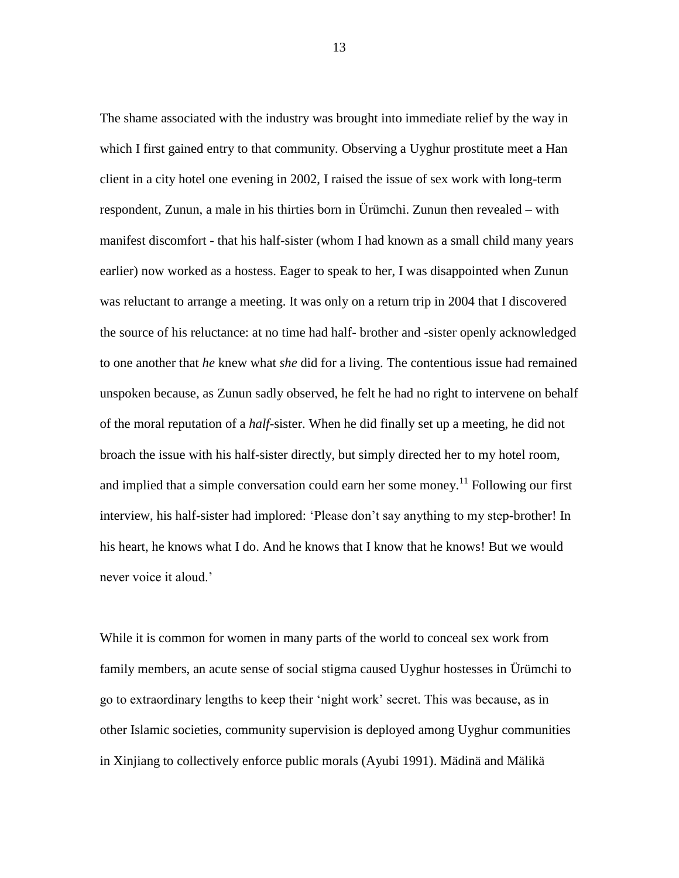The shame associated with the industry was brought into immediate relief by the way in which I first gained entry to that community. Observing a Uyghur prostitute meet a Han client in a city hotel one evening in 2002, I raised the issue of sex work with long-term respondent, Zunun, a male in his thirties born in Ürümchi. Zunun then revealed – with manifest discomfort - that his half-sister (whom I had known as a small child many years earlier) now worked as a hostess. Eager to speak to her, I was disappointed when Zunun was reluctant to arrange a meeting. It was only on a return trip in 2004 that I discovered the source of his reluctance: at no time had half- brother and -sister openly acknowledged to one another that *he* knew what *she* did for a living. The contentious issue had remained unspoken because, as Zunun sadly observed, he felt he had no right to intervene on behalf of the moral reputation of a *half-*sister. When he did finally set up a meeting, he did not broach the issue with his half-sister directly, but simply directed her to my hotel room, and implied that a simple conversation could earn her some money.<sup>11</sup> Following our first interview, his half-sister had implored: 'Please don't say anything to my step-brother! In his heart, he knows what I do. And he knows that I know that he knows! But we would never voice it aloud.'

While it is common for women in many parts of the world to conceal sex work from family members, an acute sense of social stigma caused Uyghur hostesses in Ürümchi to go to extraordinary lengths to keep their 'night work' secret. This was because, as in other Islamic societies, community supervision is deployed among Uyghur communities in Xinjiang to collectively enforce public morals (Ayubi 1991). Mädinä and Mälikä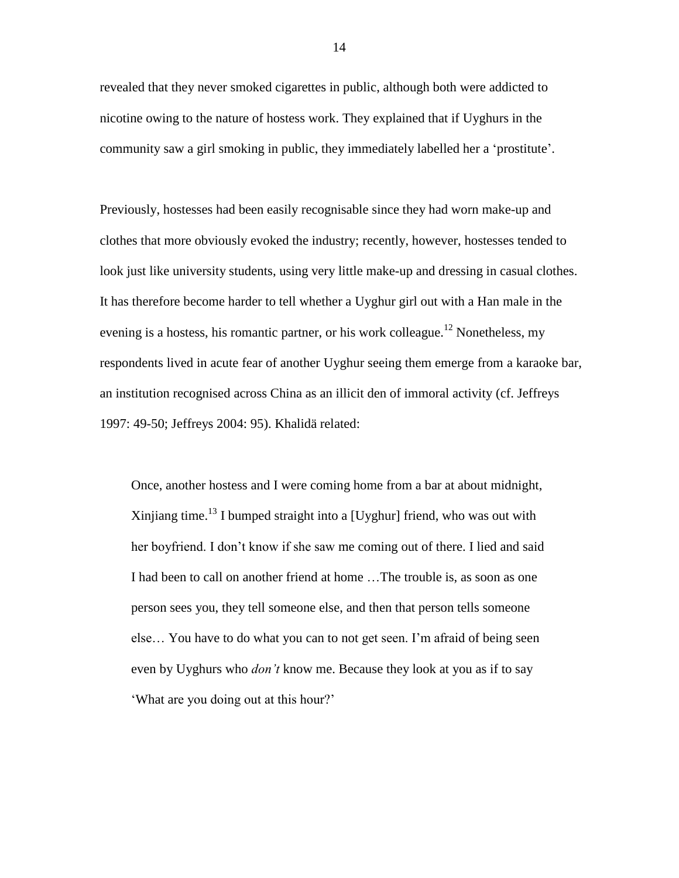revealed that they never smoked cigarettes in public, although both were addicted to nicotine owing to the nature of hostess work. They explained that if Uyghurs in the community saw a girl smoking in public, they immediately labelled her a 'prostitute'.

Previously, hostesses had been easily recognisable since they had worn make-up and clothes that more obviously evoked the industry; recently, however, hostesses tended to look just like university students, using very little make-up and dressing in casual clothes. It has therefore become harder to tell whether a Uyghur girl out with a Han male in the evening is a hostess, his romantic partner, or his work colleague.<sup>12</sup> Nonetheless, my respondents lived in acute fear of another Uyghur seeing them emerge from a karaoke bar, an institution recognised across China as an illicit den of immoral activity (cf. Jeffreys 1997: 49-50; Jeffreys 2004: 95). Khalidä related:

Once, another hostess and I were coming home from a bar at about midnight, Xinjiang time.<sup>13</sup> I bumped straight into a [Uyghur] friend, who was out with her boyfriend. I don't know if she saw me coming out of there. I lied and said I had been to call on another friend at home …The trouble is, as soon as one person sees you, they tell someone else, and then that person tells someone else… You have to do what you can to not get seen. I'm afraid of being seen even by Uyghurs who *don't* know me. Because they look at you as if to say 'What are you doing out at this hour?'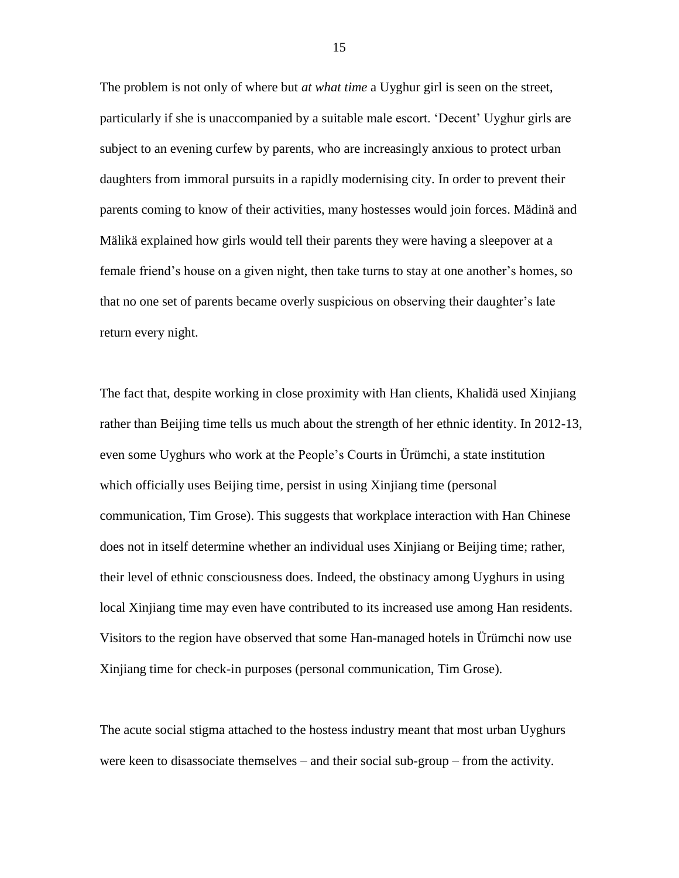The problem is not only of where but *at what time* a Uyghur girl is seen on the street, particularly if she is unaccompanied by a suitable male escort. 'Decent' Uyghur girls are subject to an evening curfew by parents, who are increasingly anxious to protect urban daughters from immoral pursuits in a rapidly modernising city. In order to prevent their parents coming to know of their activities, many hostesses would join forces. Mädinä and Mälikä explained how girls would tell their parents they were having a sleepover at a female friend's house on a given night, then take turns to stay at one another's homes, so that no one set of parents became overly suspicious on observing their daughter's late return every night.

The fact that, despite working in close proximity with Han clients, Khalidä used Xinjiang rather than Beijing time tells us much about the strength of her ethnic identity. In 2012-13, even some Uyghurs who work at the People's Courts in Ürümchi, a state institution which officially uses Beijing time, persist in using Xinjiang time (personal communication, Tim Grose). This suggests that workplace interaction with Han Chinese does not in itself determine whether an individual uses Xinjiang or Beijing time; rather, their level of ethnic consciousness does. Indeed, the obstinacy among Uyghurs in using local Xinjiang time may even have contributed to its increased use among Han residents. Visitors to the region have observed that some Han-managed hotels in Ürümchi now use Xinjiang time for check-in purposes (personal communication, Tim Grose).

The acute social stigma attached to the hostess industry meant that most urban Uyghurs were keen to disassociate themselves – and their social sub-group – from the activity.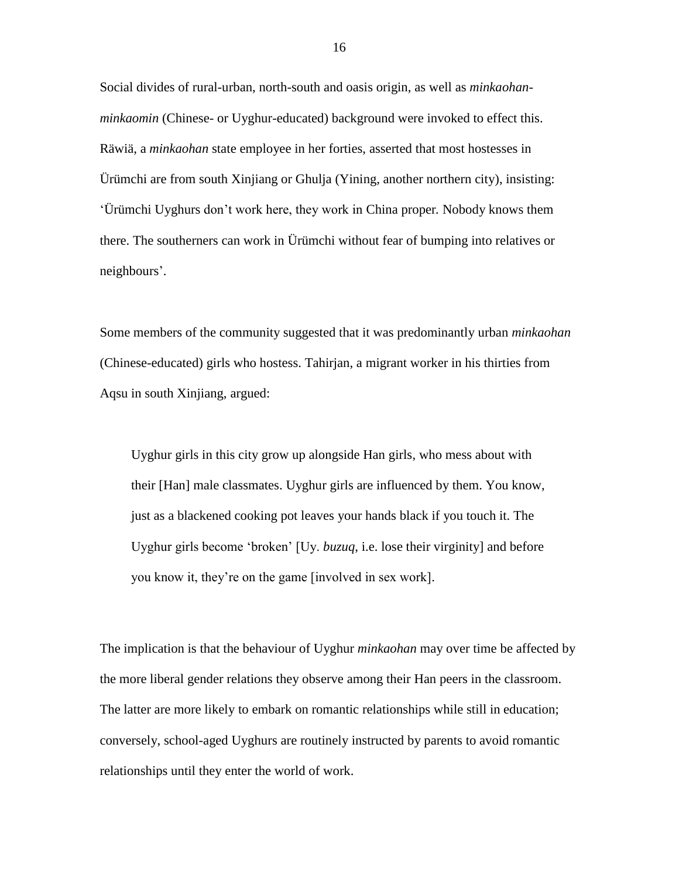Social divides of rural-urban, north-south and oasis origin, as well as *minkaohanminkaomin* (Chinese- or Uyghur-educated) background were invoked to effect this. Räwiä, a *minkaohan* state employee in her forties, asserted that most hostesses in Ürümchi are from south Xinjiang or Ghulja (Yining, another northern city), insisting: 'Ürümchi Uyghurs don't work here, they work in China proper*.* Nobody knows them there. The southerners can work in Ürümchi without fear of bumping into relatives or neighbours'.

Some members of the community suggested that it was predominantly urban *minkaohan* (Chinese-educated) girls who hostess. Tahirjan, a migrant worker in his thirties from Aqsu in south Xinjiang, argued:

Uyghur girls in this city grow up alongside Han girls, who mess about with their [Han] male classmates. Uyghur girls are influenced by them. You know, just as a blackened cooking pot leaves your hands black if you touch it. The Uyghur girls become 'broken' [Uy. *buzuq*, i.e. lose their virginity] and before you know it, they're on the game [involved in sex work].

The implication is that the behaviour of Uyghur *minkaohan* may over time be affected by the more liberal gender relations they observe among their Han peers in the classroom. The latter are more likely to embark on romantic relationships while still in education; conversely, school-aged Uyghurs are routinely instructed by parents to avoid romantic relationships until they enter the world of work.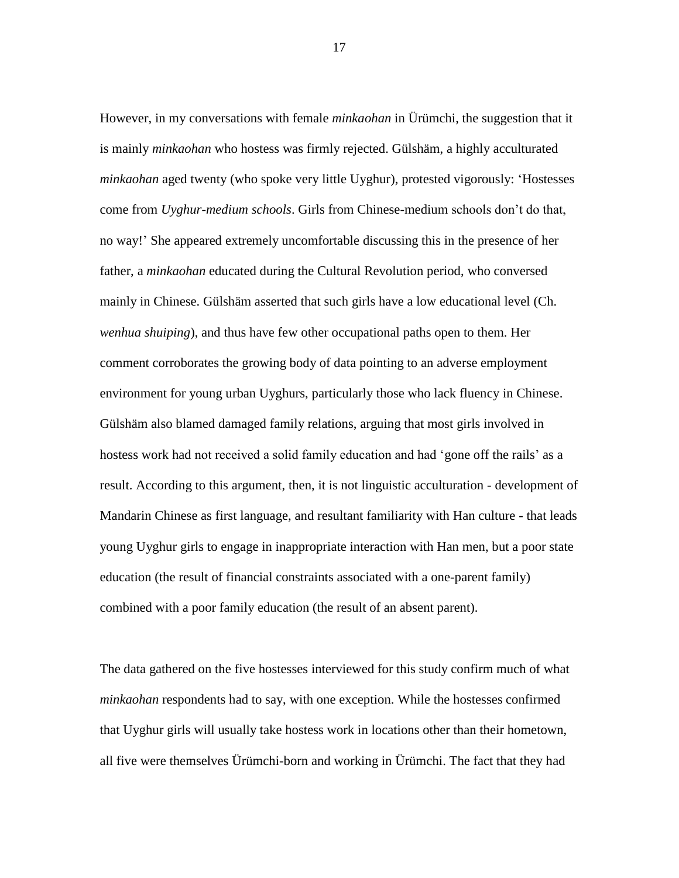However, in my conversations with female *minkaohan* in Ürümchi, the suggestion that it is mainly *minkaohan* who hostess was firmly rejected. Gülshäm, a highly acculturated *minkaohan* aged twenty (who spoke very little Uyghur), protested vigorously: 'Hostesses come from *Uyghur-medium schools*. Girls from Chinese-medium schools don't do that, no way!' She appeared extremely uncomfortable discussing this in the presence of her father, a *minkaohan* educated during the Cultural Revolution period, who conversed mainly in Chinese. Gülshäm asserted that such girls have a low educational level (Ch. *wenhua shuiping*), and thus have few other occupational paths open to them. Her comment corroborates the growing body of data pointing to an adverse employment environment for young urban Uyghurs, particularly those who lack fluency in Chinese. Gülshäm also blamed damaged family relations, arguing that most girls involved in hostess work had not received a solid family education and had 'gone off the rails' as a result. According to this argument, then, it is not linguistic acculturation - development of Mandarin Chinese as first language, and resultant familiarity with Han culture - that leads young Uyghur girls to engage in inappropriate interaction with Han men, but a poor state education (the result of financial constraints associated with a one-parent family) combined with a poor family education (the result of an absent parent).

The data gathered on the five hostesses interviewed for this study confirm much of what *minkaohan* respondents had to say, with one exception. While the hostesses confirmed that Uyghur girls will usually take hostess work in locations other than their hometown, all five were themselves Ürümchi-born and working in Ürümchi. The fact that they had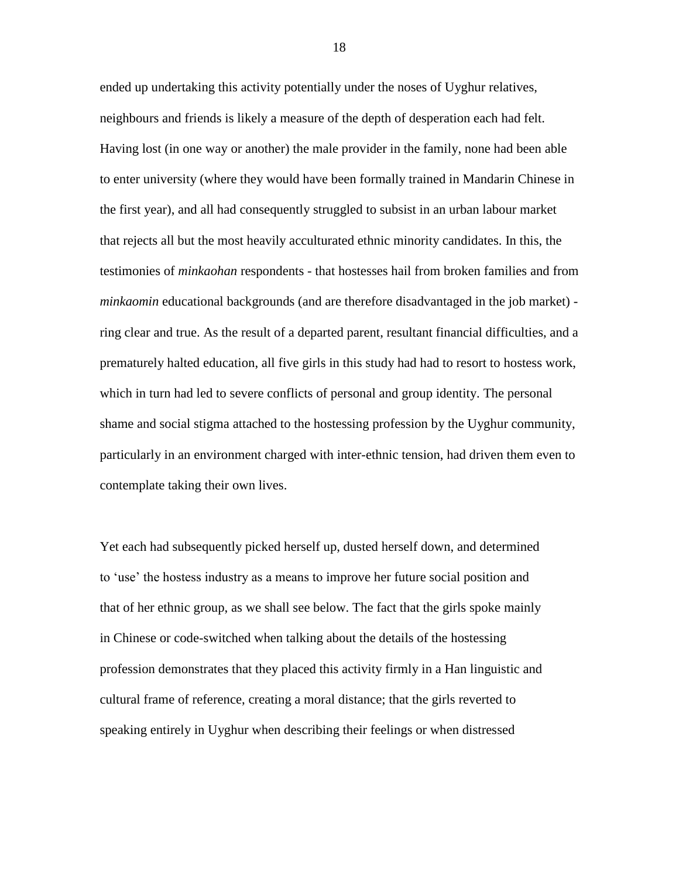ended up undertaking this activity potentially under the noses of Uyghur relatives, neighbours and friends is likely a measure of the depth of desperation each had felt. Having lost (in one way or another) the male provider in the family, none had been able to enter university (where they would have been formally trained in Mandarin Chinese in the first year), and all had consequently struggled to subsist in an urban labour market that rejects all but the most heavily acculturated ethnic minority candidates. In this, the testimonies of *minkaohan* respondents - that hostesses hail from broken families and from *minkaomin* educational backgrounds (and are therefore disadvantaged in the job market) ring clear and true. As the result of a departed parent, resultant financial difficulties, and a prematurely halted education, all five girls in this study had had to resort to hostess work, which in turn had led to severe conflicts of personal and group identity. The personal shame and social stigma attached to the hostessing profession by the Uyghur community, particularly in an environment charged with inter-ethnic tension, had driven them even to contemplate taking their own lives.

Yet each had subsequently picked herself up, dusted herself down, and determined to 'use' the hostess industry as a means to improve her future social position and that of her ethnic group, as we shall see below. The fact that the girls spoke mainly in Chinese or code-switched when talking about the details of the hostessing profession demonstrates that they placed this activity firmly in a Han linguistic and cultural frame of reference, creating a moral distance; that the girls reverted to speaking entirely in Uyghur when describing their feelings or when distressed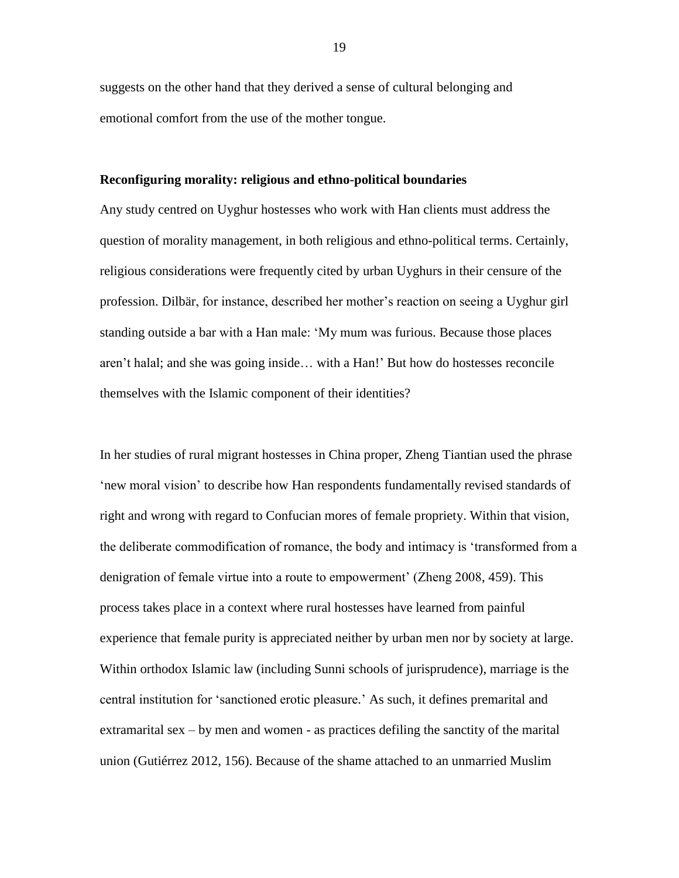suggests on the other hand that they derived a sense of cultural belonging and emotional comfort from the use of the mother tongue.

#### **Reconfiguring morality: religious and ethno-political boundaries**

Any study centred on Uyghur hostesses who work with Han clients must address the question of morality management, in both religious and ethno-political terms. Certainly, religious considerations were frequently cited by urban Uyghurs in their censure of the profession. Dilbär, for instance, described her mother's reaction on seeing a Uyghur girl standing outside a bar with a Han male: 'My mum was furious. Because those places aren't halal; and she was going inside… with a Han!' But how do hostesses reconcile themselves with the Islamic component of their identities?

In her studies of rural migrant hostesses in China proper, Zheng Tiantian used the phrase 'new moral vision' to describe how Han respondents fundamentally revised standards of right and wrong with regard to Confucian mores of female propriety. Within that vision, the deliberate commodification of romance, the body and intimacy is 'transformed from a denigration of female virtue into a route to empowerment' (Zheng 2008, 459). This process takes place in a context where rural hostesses have learned from painful experience that female purity is appreciated neither by urban men nor by society at large. Within orthodox Islamic law (including Sunni schools of jurisprudence), marriage is the central institution for 'sanctioned erotic pleasure.' As such, it defines premarital and extramarital sex – by men and women - as practices defiling the sanctity of the marital union (Gutiérrez 2012, 156). Because of the shame attached to an unmarried Muslim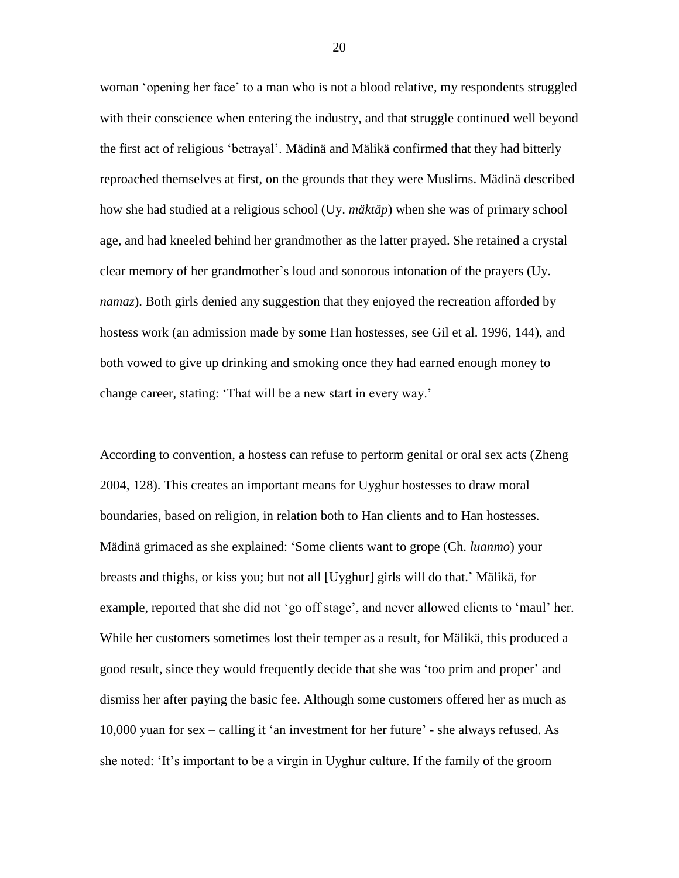woman 'opening her face' to a man who is not a blood relative, my respondents struggled with their conscience when entering the industry, and that struggle continued well beyond the first act of religious 'betrayal'. Mädinä and Mälikä confirmed that they had bitterly reproached themselves at first, on the grounds that they were Muslims. Mädinä described how she had studied at a religious school (Uy. *mäktäp*) when she was of primary school age, and had kneeled behind her grandmother as the latter prayed. She retained a crystal clear memory of her grandmother's loud and sonorous intonation of the prayers (Uy. *namaz*). Both girls denied any suggestion that they enjoyed the recreation afforded by hostess work (an admission made by some Han hostesses, see Gil et al. 1996, 144), and both vowed to give up drinking and smoking once they had earned enough money to change career, stating: 'That will be a new start in every way.'

According to convention, a hostess can refuse to perform genital or oral sex acts (Zheng 2004, 128). This creates an important means for Uyghur hostesses to draw moral boundaries, based on religion, in relation both to Han clients and to Han hostesses. Mädinä grimaced as she explained: 'Some clients want to grope (Ch. *luanmo*) your breasts and thighs, or kiss you; but not all [Uyghur] girls will do that.' Mälikä, for example, reported that she did not 'go off stage', and never allowed clients to 'maul' her. While her customers sometimes lost their temper as a result, for Mälikä, this produced a good result, since they would frequently decide that she was 'too prim and proper' and dismiss her after paying the basic fee. Although some customers offered her as much as 10,000 yuan for sex – calling it 'an investment for her future' - she always refused. As she noted: 'It's important to be a virgin in Uyghur culture. If the family of the groom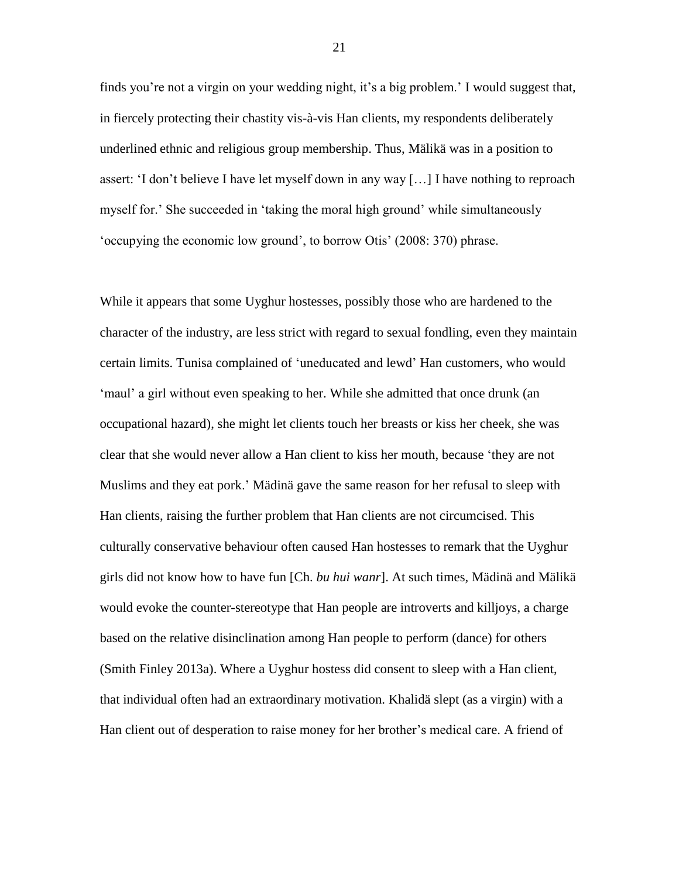finds you're not a virgin on your wedding night, it's a big problem.' I would suggest that, in fiercely protecting their chastity vis-à-vis Han clients, my respondents deliberately underlined ethnic and religious group membership. Thus, Mälikä was in a position to assert: 'I don't believe I have let myself down in any way […] I have nothing to reproach myself for.' She succeeded in 'taking the moral high ground' while simultaneously 'occupying the economic low ground', to borrow Otis' (2008: 370) phrase.

While it appears that some Uyghur hostesses, possibly those who are hardened to the character of the industry, are less strict with regard to sexual fondling, even they maintain certain limits. Tunisa complained of 'uneducated and lewd' Han customers, who would 'maul' a girl without even speaking to her. While she admitted that once drunk (an occupational hazard), she might let clients touch her breasts or kiss her cheek, she was clear that she would never allow a Han client to kiss her mouth, because 'they are not Muslims and they eat pork.' Mädinä gave the same reason for her refusal to sleep with Han clients, raising the further problem that Han clients are not circumcised. This culturally conservative behaviour often caused Han hostesses to remark that the Uyghur girls did not know how to have fun [Ch. *bu hui wanr*]. At such times, Mädinä and Mälikä would evoke the counter-stereotype that Han people are introverts and killjoys, a charge based on the relative disinclination among Han people to perform (dance) for others (Smith Finley 2013a). Where a Uyghur hostess did consent to sleep with a Han client, that individual often had an extraordinary motivation. Khalidä slept (as a virgin) with a Han client out of desperation to raise money for her brother's medical care. A friend of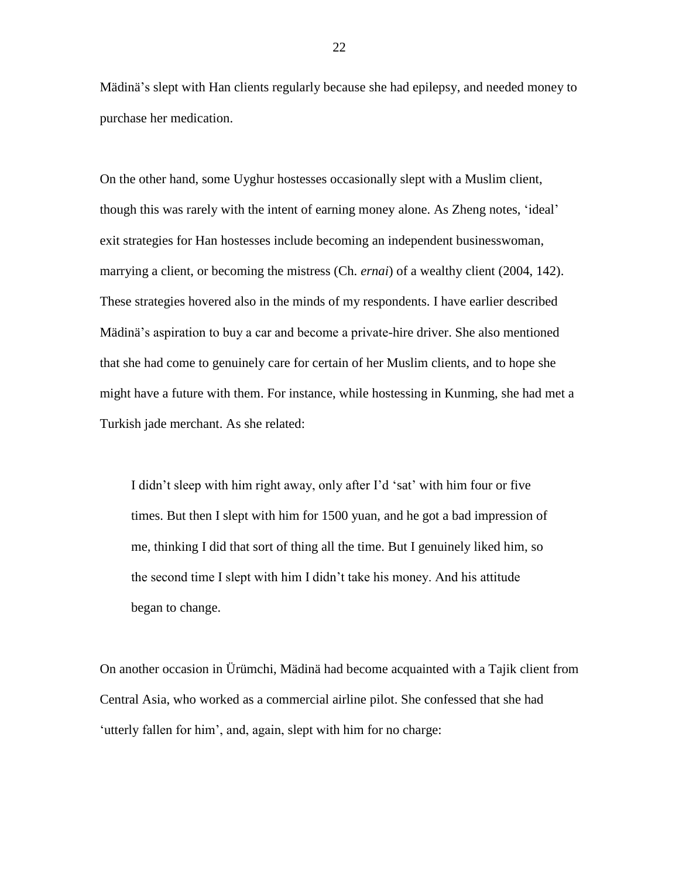Mädinä's slept with Han clients regularly because she had epilepsy, and needed money to purchase her medication.

On the other hand, some Uyghur hostesses occasionally slept with a Muslim client, though this was rarely with the intent of earning money alone. As Zheng notes, 'ideal' exit strategies for Han hostesses include becoming an independent businesswoman, marrying a client, or becoming the mistress (Ch. *ernai*) of a wealthy client (2004, 142). These strategies hovered also in the minds of my respondents. I have earlier described Mädinä's aspiration to buy a car and become a private-hire driver. She also mentioned that she had come to genuinely care for certain of her Muslim clients, and to hope she might have a future with them. For instance, while hostessing in Kunming, she had met a Turkish jade merchant. As she related:

I didn't sleep with him right away, only after I'd 'sat' with him four or five times. But then I slept with him for 1500 yuan, and he got a bad impression of me, thinking I did that sort of thing all the time. But I genuinely liked him, so the second time I slept with him I didn't take his money. And his attitude began to change.

On another occasion in Ürümchi, Mädinä had become acquainted with a Tajik client from Central Asia, who worked as a commercial airline pilot. She confessed that she had 'utterly fallen for him', and, again, slept with him for no charge: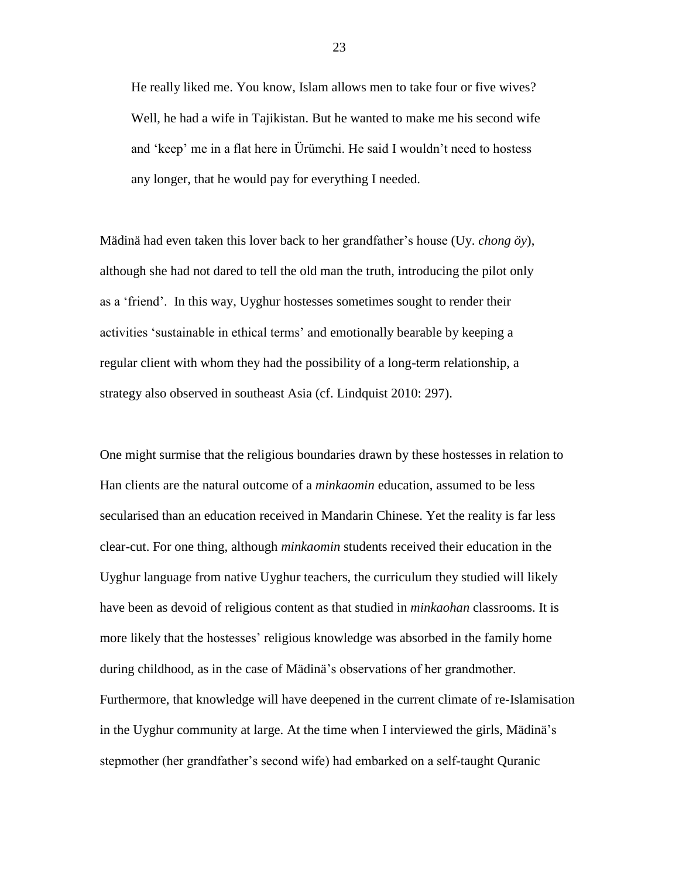He really liked me. You know, Islam allows men to take four or five wives? Well, he had a wife in Tajikistan. But he wanted to make me his second wife and 'keep' me in a flat here in Ürümchi. He said I wouldn't need to hostess any longer, that he would pay for everything I needed.

Mädinä had even taken this lover back to her grandfather's house (Uy. *chong öy*), although she had not dared to tell the old man the truth, introducing the pilot only as a 'friend'. In this way, Uyghur hostesses sometimes sought to render their activities 'sustainable in ethical terms' and emotionally bearable by keeping a regular client with whom they had the possibility of a long-term relationship, a strategy also observed in southeast Asia (cf. Lindquist 2010: 297).

One might surmise that the religious boundaries drawn by these hostesses in relation to Han clients are the natural outcome of a *minkaomin* education, assumed to be less secularised than an education received in Mandarin Chinese. Yet the reality is far less clear-cut. For one thing, although *minkaomin* students received their education in the Uyghur language from native Uyghur teachers, the curriculum they studied will likely have been as devoid of religious content as that studied in *minkaohan* classrooms. It is more likely that the hostesses' religious knowledge was absorbed in the family home during childhood, as in the case of Mädinä's observations of her grandmother. Furthermore, that knowledge will have deepened in the current climate of re-Islamisation in the Uyghur community at large. At the time when I interviewed the girls, Mädinä's stepmother (her grandfather's second wife) had embarked on a self-taught Quranic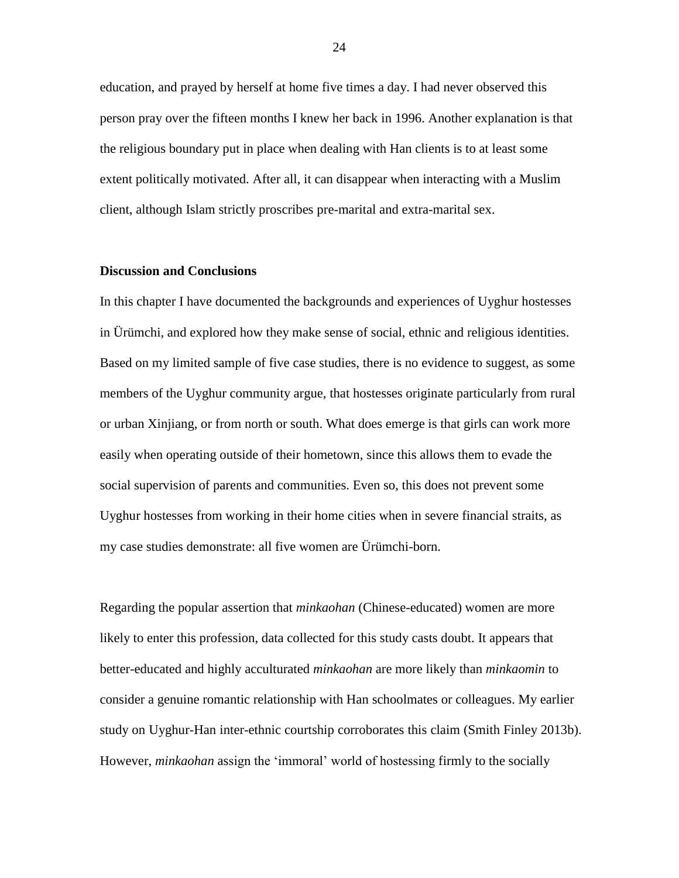education, and prayed by herself at home five times a day. I had never observed this person pray over the fifteen months I knew her back in 1996. Another explanation is that the religious boundary put in place when dealing with Han clients is to at least some extent politically motivated. After all, it can disappear when interacting with a Muslim client, although Islam strictly proscribes pre-marital and extra-marital sex.

#### **Discussion and Conclusions**

In this chapter I have documented the backgrounds and experiences of Uyghur hostesses in Ürümchi, and explored how they make sense of social, ethnic and religious identities. Based on my limited sample of five case studies, there is no evidence to suggest, as some members of the Uyghur community argue, that hostesses originate particularly from rural or urban Xinjiang, or from north or south. What does emerge is that girls can work more easily when operating outside of their hometown, since this allows them to evade the social supervision of parents and communities. Even so, this does not prevent some Uyghur hostesses from working in their home cities when in severe financial straits, as my case studies demonstrate: all five women are Ürümchi-born.

Regarding the popular assertion that *minkaohan* (Chinese-educated) women are more likely to enter this profession, data collected for this study casts doubt. It appears that better-educated and highly acculturated *minkaohan* are more likely than *minkaomin* to consider a genuine romantic relationship with Han schoolmates or colleagues. My earlier study on Uyghur-Han inter-ethnic courtship corroborates this claim (Smith Finley 2013b). However, *minkaohan* assign the 'immoral' world of hostessing firmly to the socially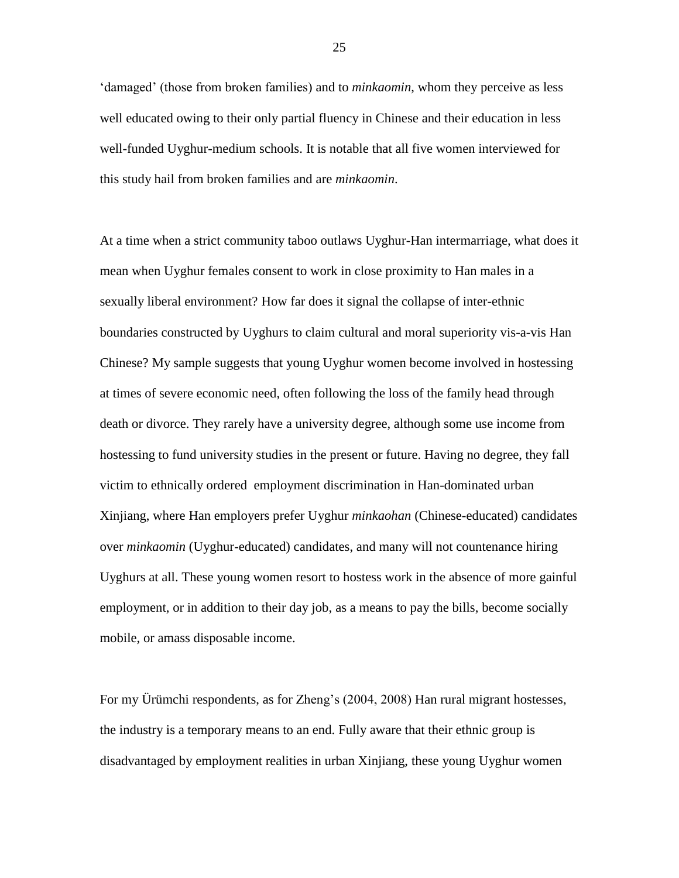'damaged' (those from broken families) and to *minkaomin*, whom they perceive as less well educated owing to their only partial fluency in Chinese and their education in less well-funded Uyghur-medium schools. It is notable that all five women interviewed for this study hail from broken families and are *minkaomin*.

At a time when a strict community taboo outlaws Uyghur-Han intermarriage, what does it mean when Uyghur females consent to work in close proximity to Han males in a sexually liberal environment? How far does it signal the collapse of inter-ethnic boundaries constructed by Uyghurs to claim cultural and moral superiority vis-a-vis Han Chinese? My sample suggests that young Uyghur women become involved in hostessing at times of severe economic need, often following the loss of the family head through death or divorce. They rarely have a university degree, although some use income from hostessing to fund university studies in the present or future. Having no degree, they fall victim to ethnically ordered employment discrimination in Han-dominated urban Xinjiang, where Han employers prefer Uyghur *minkaohan* (Chinese-educated) candidates over *minkaomin* (Uyghur-educated) candidates, and many will not countenance hiring Uyghurs at all. These young women resort to hostess work in the absence of more gainful employment, or in addition to their day job, as a means to pay the bills, become socially mobile, or amass disposable income.

For my Ürümchi respondents, as for Zheng's (2004, 2008) Han rural migrant hostesses, the industry is a temporary means to an end. Fully aware that their ethnic group is disadvantaged by employment realities in urban Xinjiang, these young Uyghur women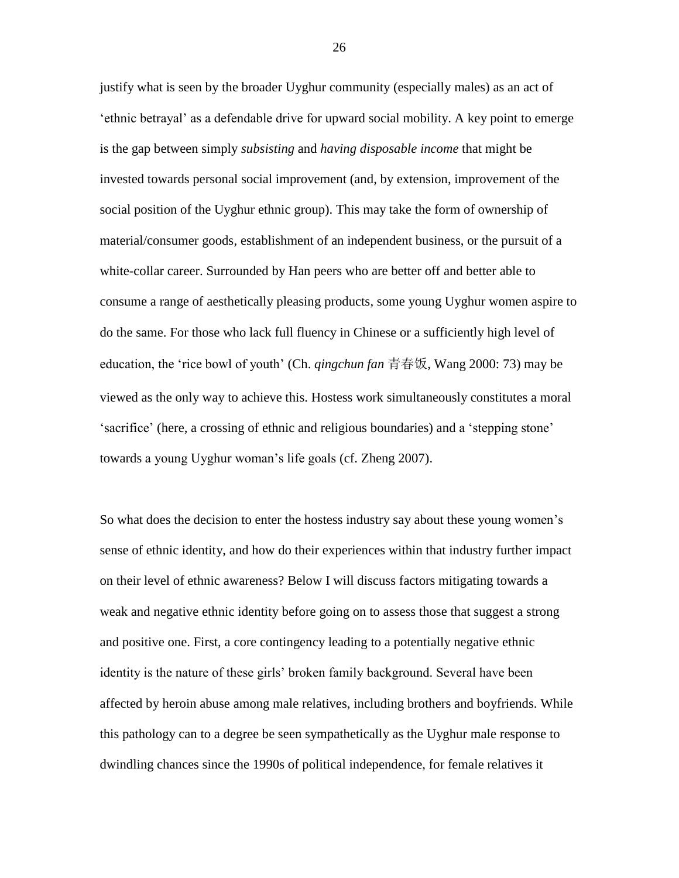justify what is seen by the broader Uyghur community (especially males) as an act of 'ethnic betrayal' as a defendable drive for upward social mobility. A key point to emerge is the gap between simply *subsisting* and *having disposable income* that might be invested towards personal social improvement (and, by extension, improvement of the social position of the Uyghur ethnic group). This may take the form of ownership of material/consumer goods, establishment of an independent business, or the pursuit of a white-collar career. Surrounded by Han peers who are better off and better able to consume a range of aesthetically pleasing products, some young Uyghur women aspire to do the same. For those who lack full fluency in Chinese or a sufficiently high level of education, the 'rice bowl of youth' (Ch. *qingchun fan* 青春饭, Wang 2000: 73) may be viewed as the only way to achieve this. Hostess work simultaneously constitutes a moral 'sacrifice' (here, a crossing of ethnic and religious boundaries) and a 'stepping stone' towards a young Uyghur woman's life goals (cf. Zheng 2007).

So what does the decision to enter the hostess industry say about these young women's sense of ethnic identity, and how do their experiences within that industry further impact on their level of ethnic awareness? Below I will discuss factors mitigating towards a weak and negative ethnic identity before going on to assess those that suggest a strong and positive one. First, a core contingency leading to a potentially negative ethnic identity is the nature of these girls' broken family background. Several have been affected by heroin abuse among male relatives, including brothers and boyfriends. While this pathology can to a degree be seen sympathetically as the Uyghur male response to dwindling chances since the 1990s of political independence, for female relatives it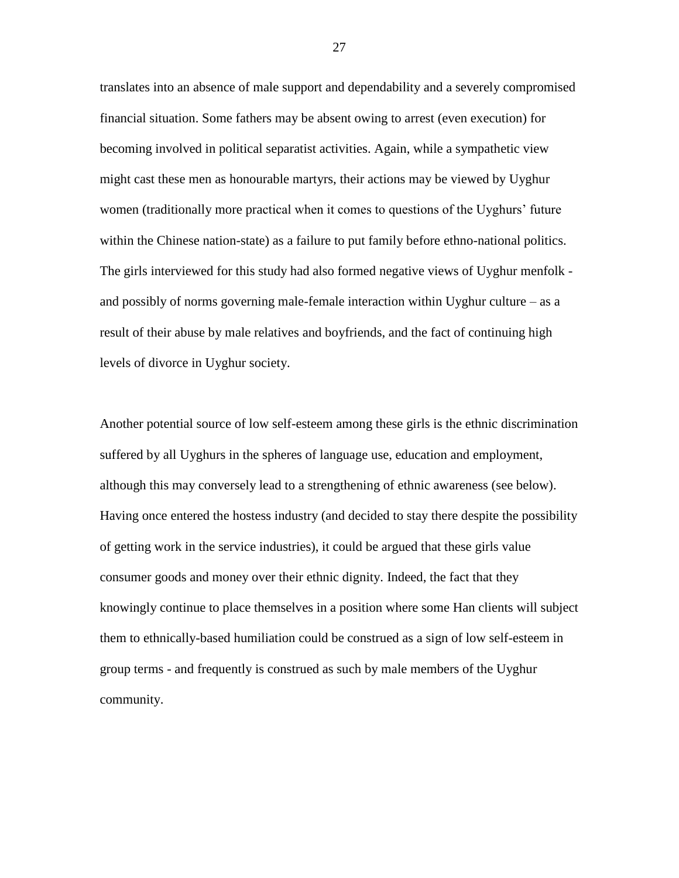translates into an absence of male support and dependability and a severely compromised financial situation. Some fathers may be absent owing to arrest (even execution) for becoming involved in political separatist activities. Again, while a sympathetic view might cast these men as honourable martyrs, their actions may be viewed by Uyghur women (traditionally more practical when it comes to questions of the Uyghurs' future within the Chinese nation-state) as a failure to put family before ethno-national politics. The girls interviewed for this study had also formed negative views of Uyghur menfolk and possibly of norms governing male-female interaction within Uyghur culture – as a result of their abuse by male relatives and boyfriends, and the fact of continuing high levels of divorce in Uyghur society.

Another potential source of low self-esteem among these girls is the ethnic discrimination suffered by all Uyghurs in the spheres of language use, education and employment, although this may conversely lead to a strengthening of ethnic awareness (see below). Having once entered the hostess industry (and decided to stay there despite the possibility of getting work in the service industries), it could be argued that these girls value consumer goods and money over their ethnic dignity. Indeed, the fact that they knowingly continue to place themselves in a position where some Han clients will subject them to ethnically-based humiliation could be construed as a sign of low self-esteem in group terms - and frequently is construed as such by male members of the Uyghur community.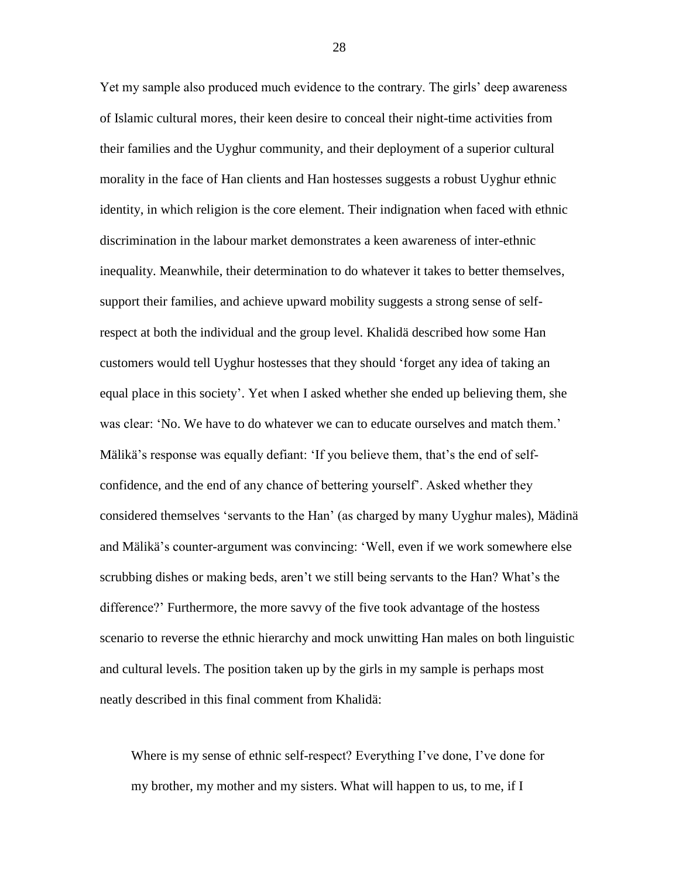Yet my sample also produced much evidence to the contrary. The girls' deep awareness of Islamic cultural mores, their keen desire to conceal their night-time activities from their families and the Uyghur community, and their deployment of a superior cultural morality in the face of Han clients and Han hostesses suggests a robust Uyghur ethnic identity, in which religion is the core element. Their indignation when faced with ethnic discrimination in the labour market demonstrates a keen awareness of inter-ethnic inequality. Meanwhile, their determination to do whatever it takes to better themselves, support their families, and achieve upward mobility suggests a strong sense of selfrespect at both the individual and the group level. Khalidä described how some Han customers would tell Uyghur hostesses that they should 'forget any idea of taking an equal place in this society'. Yet when I asked whether she ended up believing them, she was clear: 'No. We have to do whatever we can to educate ourselves and match them.' Mälikä's response was equally defiant: 'If you believe them, that's the end of selfconfidence, and the end of any chance of bettering yourself'. Asked whether they considered themselves 'servants to the Han' (as charged by many Uyghur males), Mädinä and Mälikä's counter-argument was convincing: 'Well, even if we work somewhere else scrubbing dishes or making beds, aren't we still being servants to the Han? What's the difference?' Furthermore, the more savvy of the five took advantage of the hostess scenario to reverse the ethnic hierarchy and mock unwitting Han males on both linguistic and cultural levels. The position taken up by the girls in my sample is perhaps most neatly described in this final comment from Khalidä:

Where is my sense of ethnic self-respect? Everything I've done, I've done for my brother, my mother and my sisters. What will happen to us, to me, if I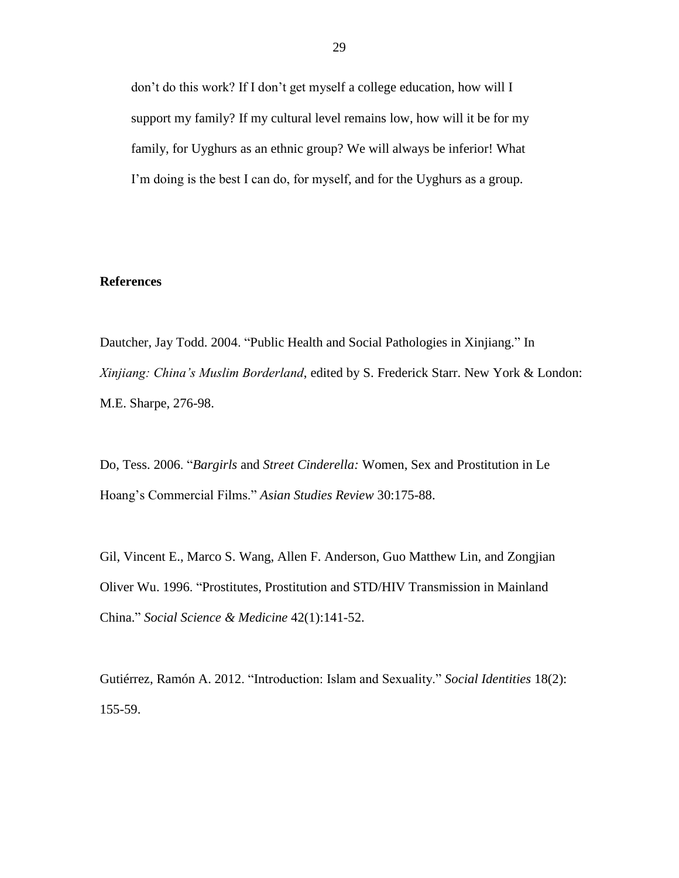don't do this work? If I don't get myself a college education, how will I support my family? If my cultural level remains low, how will it be for my family, for Uyghurs as an ethnic group? We will always be inferior! What I'm doing is the best I can do, for myself, and for the Uyghurs as a group.

## **References**

Dautcher, Jay Todd. 2004. "Public Health and Social Pathologies in Xinjiang." In *Xinjiang: China's Muslim Borderland*, edited by S. Frederick Starr. New York & London: M.E. Sharpe, 276-98.

Do, Tess. 2006. "*Bargirls* and *Street Cinderella:* Women, Sex and Prostitution in Le Hoang's Commercial Films." *Asian Studies Review* 30:175-88.

Gil, Vincent E., Marco S. Wang, Allen F. Anderson, Guo Matthew Lin, and Zongjian Oliver Wu. 1996. "Prostitutes, Prostitution and STD/HIV Transmission in Mainland China." *Social Science & Medicine* 42(1):141-52.

Gutiérrez, Ramón A. 2012. "Introduction: Islam and Sexuality." *Social Identities* 18(2): 155-59.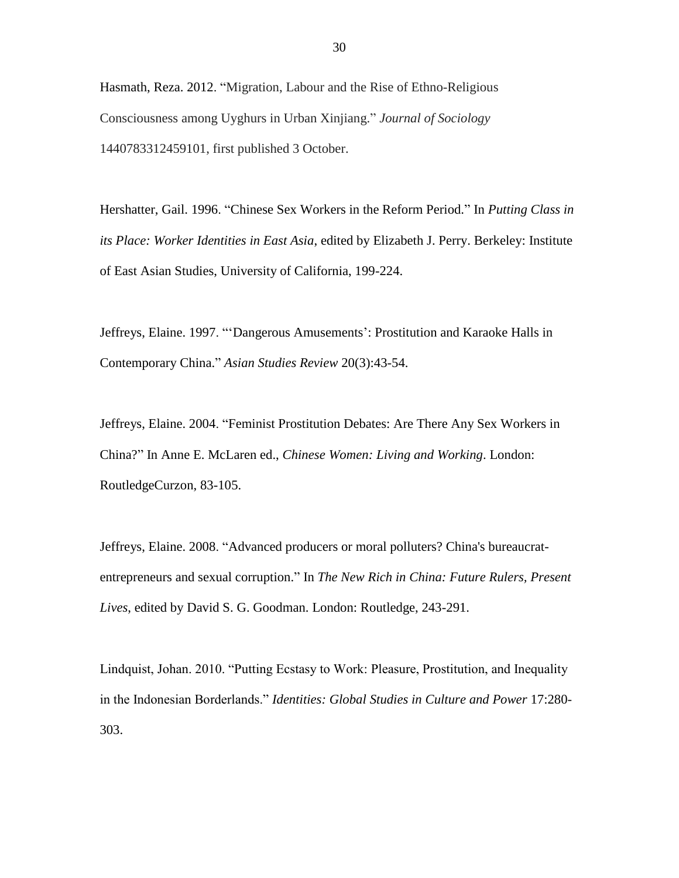Hasmath, Reza. 2012. "Migration, Labour and the Rise of Ethno-Religious Consciousness among Uyghurs in Urban Xinjiang." *Journal of Sociology*  1440783312459101, first published 3 October.

Hershatter, Gail. 1996. "Chinese Sex Workers in the Reform Period." In *Putting Class in its Place: Worker Identities in East Asia*, edited by Elizabeth J. Perry. Berkeley: Institute of East Asian Studies, University of California, 199-224.

Jeffreys, Elaine. 1997. "'Dangerous Amusements': Prostitution and Karaoke Halls in Contemporary China." *Asian Studies Review* 20(3):43-54.

Jeffreys, Elaine. 2004. "Feminist Prostitution Debates: Are There Any Sex Workers in China?" In Anne E. McLaren ed., *Chinese Women: Living and Working*. London: RoutledgeCurzon, 83-105.

Jeffreys, Elaine. 2008. "Advanced producers or moral polluters? China's bureaucratentrepreneurs and sexual corruption." In *The New Rich in China: Future Rulers, Present Lives*, edited by David S. G. Goodman. London: Routledge, 243-291.

Lindquist, Johan. 2010. "Putting Ecstasy to Work: Pleasure, Prostitution, and Inequality in the Indonesian Borderlands." *Identities: Global Studies in Culture and Power* 17:280- 303.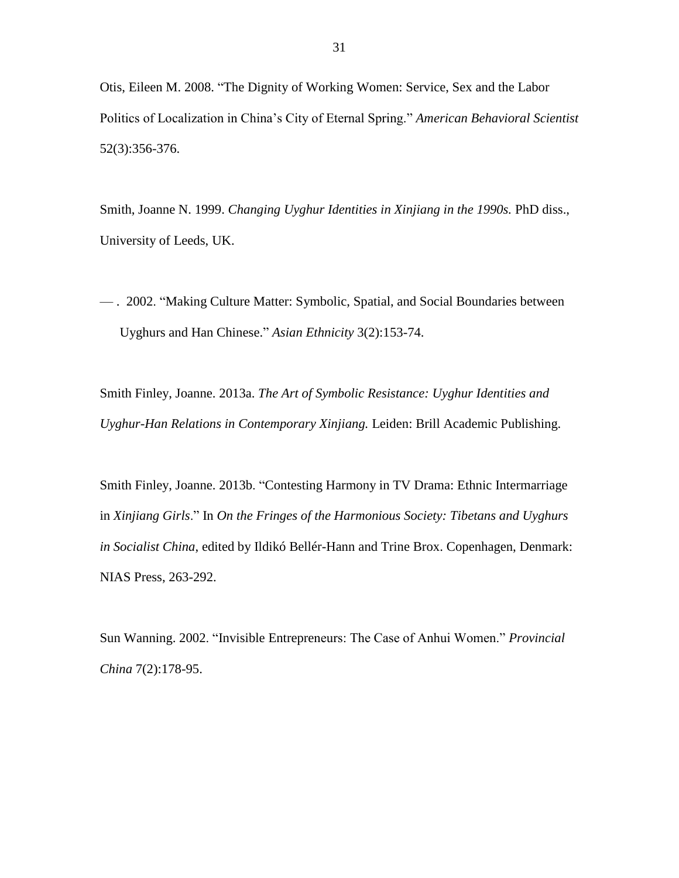Otis, Eileen M. 2008. "The Dignity of Working Women: Service, Sex and the Labor Politics of Localization in China's City of Eternal Spring." *American Behavioral Scientist* 52(3):356-376.

Smith, Joanne N. 1999. *Changing Uyghur Identities in Xinjiang in the 1990s.* PhD diss., University of Leeds, UK.

— . 2002. "Making Culture Matter: Symbolic, Spatial, and Social Boundaries between Uyghurs and Han Chinese." *Asian Ethnicity* 3(2):153-74.

Smith Finley, Joanne. 2013a. *The Art of Symbolic Resistance: Uyghur Identities and Uyghur-Han Relations in Contemporary Xinjiang.* Leiden: Brill Academic Publishing.

Smith Finley, Joanne. 2013b. "Contesting Harmony in TV Drama: Ethnic Intermarriage in *Xinjiang Girls*." In *On the Fringes of the Harmonious Society: Tibetans and Uyghurs in Socialist China*, edited by Ildikó Bellér-Hann and Trine Brox. Copenhagen, Denmark: NIAS Press, 263-292.

Sun Wanning. 2002. "Invisible Entrepreneurs: The Case of Anhui Women." *Provincial China* 7(2):178-95.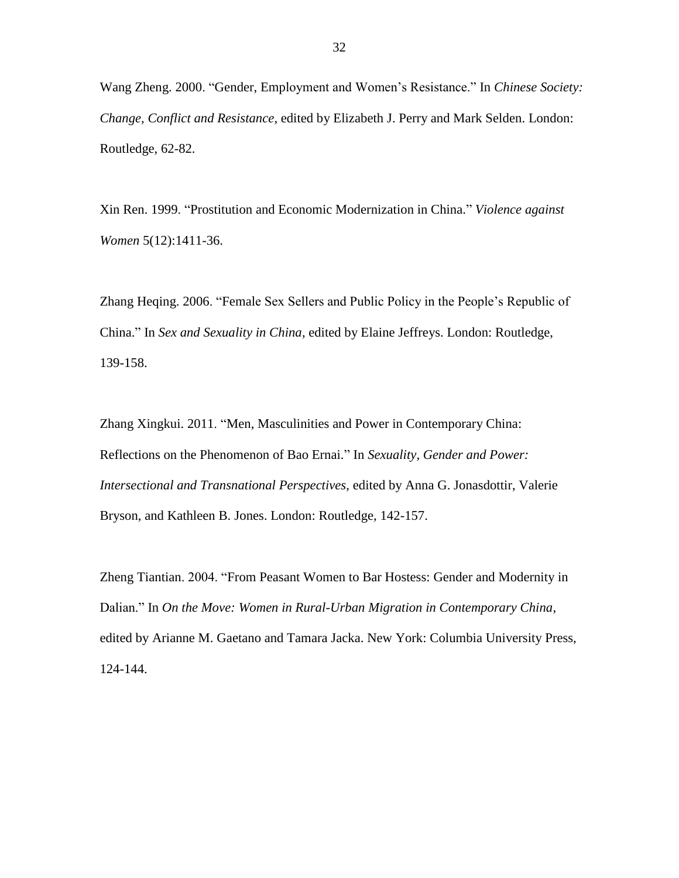Wang Zheng. 2000. "Gender, Employment and Women's Resistance." In *Chinese Society: Change, Conflict and Resistance*, edited by Elizabeth J. Perry and Mark Selden. London: Routledge, 62-82.

Xin Ren. 1999. "Prostitution and Economic Modernization in China." *Violence against Women* 5(12):1411-36.

Zhang Heqing. 2006. "Female Sex Sellers and Public Policy in the People's Republic of China." In *Sex and Sexuality in China*, edited by Elaine Jeffreys. London: Routledge, 139-158.

Zhang Xingkui. 2011. "Men, Masculinities and Power in Contemporary China: Reflections on the Phenomenon of Bao Ernai." In *Sexuality, Gender and Power: Intersectional and Transnational Perspectives*, edited by Anna G. Jonasdottir, Valerie Bryson, and Kathleen B. Jones. London: Routledge, 142-157.

Zheng Tiantian. 2004. "From Peasant Women to Bar Hostess: Gender and Modernity in Dalian." In *On the Move: Women in Rural-Urban Migration in Contemporary China*, edited by Arianne M. Gaetano and Tamara Jacka. New York: Columbia University Press, 124-144.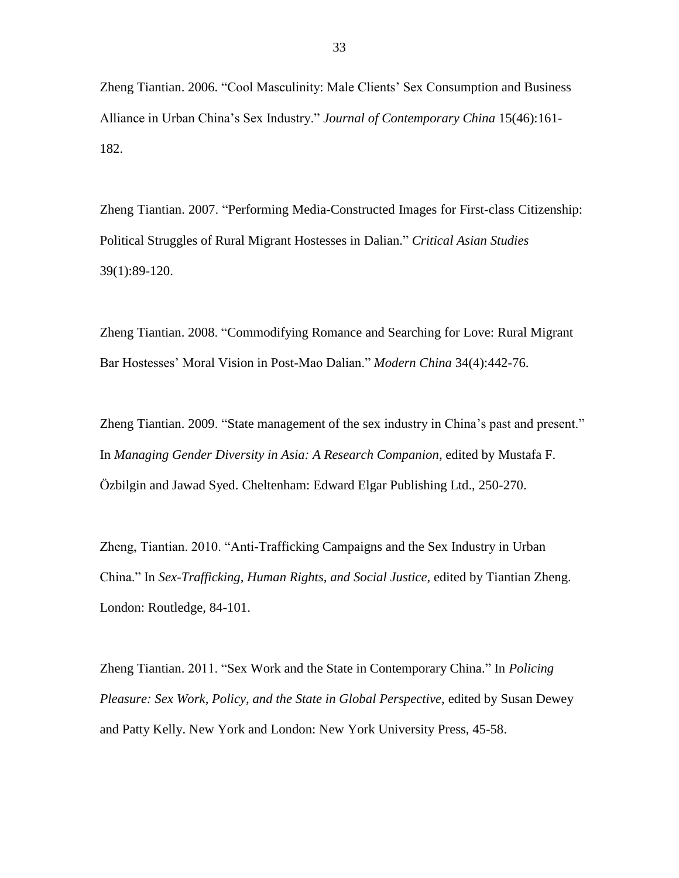Zheng Tiantian. 2006. "Cool Masculinity: Male Clients' Sex Consumption and Business Alliance in Urban China's Sex Industry." *Journal of Contemporary China* 15(46):161- 182.

Zheng Tiantian. 2007. "Performing Media-Constructed Images for First-class Citizenship: Political Struggles of Rural Migrant Hostesses in Dalian." *Critical Asian Studies*  39(1):89-120.

Zheng Tiantian. 2008. "Commodifying Romance and Searching for Love: Rural Migrant Bar Hostesses' Moral Vision in Post-Mao Dalian." *Modern China* 34(4):442-76.

Zheng Tiantian. 2009. "State management of the sex industry in China's past and present." In *Managing Gender Diversity in Asia: A Research Companion*, edited by Mustafa F. Özbilgin and Jawad Syed. Cheltenham: Edward Elgar Publishing Ltd., 250-270.

Zheng, Tiantian. 2010. "Anti-Trafficking Campaigns and the Sex Industry in Urban China." In *Sex-Trafficking, Human Rights, and Social Justice*, edited by Tiantian Zheng. London: Routledge, 84-101.

Zheng Tiantian. 2011. "Sex Work and the State in Contemporary China." In *Policing Pleasure: Sex Work, Policy, and the State in Global Perspective*, edited by Susan Dewey and Patty Kelly. New York and London: New York University Press, 45-58.